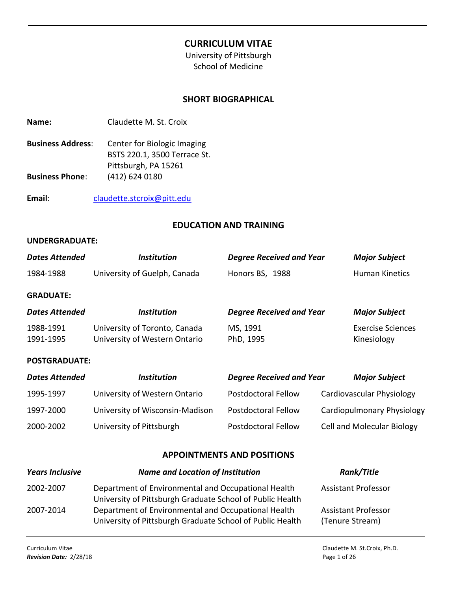# **CURRICULUM VITAE**

University of Pittsburgh School of Medicine

### **SHORT BIOGRAPHICAL**

| Name: | Claudette M. St. Croix |  |
|-------|------------------------|--|
|       |                        |  |

- **Business Address**: Center for Biologic Imaging BSTS 220.1, 3500 Terrace St. Pittsburgh, PA 15261 **Business Phone**: (412) 624 0180
- **Email**: [claudette.stcroix@pitt.edu](mailto:claudette.stcroix@pitt.edu)

#### **EDUCATION AND TRAINING**

#### **UNDERGRADUATE:**

| <b>Dates Attended</b>  | <b>Institution</b>                                             | <b>Degree Received and Year</b> | <b>Major Subject</b>                    |
|------------------------|----------------------------------------------------------------|---------------------------------|-----------------------------------------|
| 1984-1988              | University of Guelph, Canada                                   | Honors BS, 1988                 | Human Kinetics                          |
| <b>GRADUATE:</b>       |                                                                |                                 |                                         |
| <b>Dates Attended</b>  | <b>Institution</b>                                             | <b>Degree Received and Year</b> | <b>Major Subject</b>                    |
| 1988-1991<br>1991-1995 | University of Toronto, Canada<br>University of Western Ontario | MS, 1991<br>PhD, 1995           | <b>Exercise Sciences</b><br>Kinesiology |
| <b>POSTGRADUATE:</b>   |                                                                |                                 |                                         |
| <b>Dates Attended</b>  | <b>Institution</b>                                             | <b>Degree Received and Year</b> | <b>Major Subject</b>                    |
| 1995-1997              | University of Western Ontario                                  | <b>Postdoctoral Fellow</b>      | Cardiovascular Physiology               |
| 1997-2000              | University of Wisconsin-Madison                                | Postdoctoral Fellow             | Cardiopulmonary Physiology              |

#### **APPOINTMENTS AND POSITIONS**

2000-2002 University of Pittsburgh Postdoctoral Fellow Cell and Molecular Biology

| <b>Years Inclusive</b> | <b>Name and Location of Institution</b>                                                                          | Rank/Title                                    |
|------------------------|------------------------------------------------------------------------------------------------------------------|-----------------------------------------------|
| 2002-2007              | Department of Environmental and Occupational Health<br>University of Pittsburgh Graduate School of Public Health | <b>Assistant Professor</b>                    |
| 2007-2014              | Department of Environmental and Occupational Health<br>University of Pittsburgh Graduate School of Public Health | <b>Assistant Professor</b><br>(Tenure Stream) |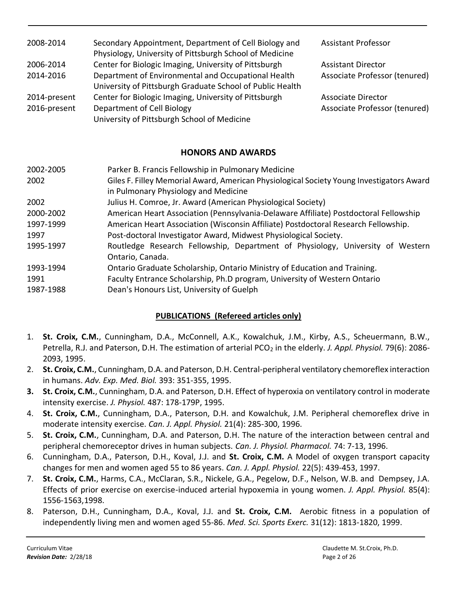| 2008-2014    | Secondary Appointment, Department of Cell Biology and<br>Physiology, University of Pittsburgh School of Medicine | <b>Assistant Professor</b>    |
|--------------|------------------------------------------------------------------------------------------------------------------|-------------------------------|
| 2006-2014    | Center for Biologic Imaging, University of Pittsburgh                                                            | <b>Assistant Director</b>     |
| 2014-2016    | Department of Environmental and Occupational Health<br>University of Pittsburgh Graduate School of Public Health | Associate Professor (tenured) |
| 2014-present | Center for Biologic Imaging, University of Pittsburgh                                                            | <b>Associate Director</b>     |
| 2016-present | Department of Cell Biology                                                                                       | Associate Professor (tenured) |
|              | University of Pittsburgh School of Medicine                                                                      |                               |

# **HONORS AND AWARDS**

| 2002-2005 | Parker B. Francis Fellowship in Pulmonary Medicine                                                                               |
|-----------|----------------------------------------------------------------------------------------------------------------------------------|
| 2002      | Giles F. Filley Memorial Award, American Physiological Society Young Investigators Award<br>in Pulmonary Physiology and Medicine |
| 2002      | Julius H. Comroe, Jr. Award (American Physiological Society)                                                                     |
| 2000-2002 | American Heart Association (Pennsylvania-Delaware Affiliate) Postdoctoral Fellowship                                             |
| 1997-1999 | American Heart Association (Wisconsin Affiliate) Postdoctoral Research Fellowship.                                               |
| 1997      | Post-doctoral Investigator Award, Midwest Physiological Society.                                                                 |
| 1995-1997 | Routledge Research Fellowship, Department of Physiology, University of Western<br>Ontario, Canada.                               |
| 1993-1994 | Ontario Graduate Scholarship, Ontario Ministry of Education and Training.                                                        |
| 1991      | Faculty Entrance Scholarship, Ph.D program, University of Western Ontario                                                        |
| 1987-1988 | Dean's Honours List, University of Guelph                                                                                        |

# **PUBLICATIONS (Refereed articles only)**

- 1. **St. Croix, C.M.**, Cunningham, D.A., McConnell, A.K., Kowalchuk, J.M., Kirby, A.S., Scheuermann, B.W., Petrella, R.J. and Paterson, D.H. The estimation of arterial PCO<sub>2</sub> in the elderly. *J. Appl. Physiol.* 79(6): 2086-2093, 1995.
- 2. **St. Croix, C.M.**, Cunningham, D.A. and Paterson, D.H. Central-peripheral ventilatory chemoreflex interaction in humans. *Adv. Exp. Med. Biol.* 393: 351-355, 1995.
- **3. St. Croix, C.M.**, Cunningham, D.A. and Paterson, D.H. Effect of hyperoxia on ventilatory control in moderate intensity exercise. *J. Physiol.* 487: 178-179P, 1995.
- 4. **St. Croix, C.M.**, Cunningham, D.A., Paterson, D.H. and Kowalchuk, J.M. Peripheral chemoreflex drive in moderate intensity exercise. *Can. J. Appl. Physiol.* 21(4): 285-300, 1996.
- 5. **St. Croix, C.M.**, Cunningham, D.A. and Paterson, D.H. The nature of the interaction between central and peripheral chemoreceptor drives in human subjects. *Can. J. Physiol. Pharmacol.* 74: 7-13, 1996.
- 6. Cunningham, D.A., Paterson, D.H., Koval, J.J. and **St. Croix, C.M.** A Model of oxygen transport capacity changes for men and women aged 55 to 86 years. *Can. J. Appl. Physiol.* 22(5): 439-453, 1997.
- 7. **St. Croix, C.M.**, Harms, C.A., McClaran, S.R., Nickele, G.A., Pegelow, D.F., Nelson, W.B. and Dempsey, J.A. Effects of prior exercise on exercise-induced arterial hypoxemia in young women. *J. Appl. Physiol.* 85(4): 1556-1563,1998.
- 8. Paterson, D.H., Cunningham, D.A., Koval, J.J. and **St. Croix, C.M.** Aerobic fitness in a population of independently living men and women aged 55-86. *Med. Sci. Sports Exerc.* 31(12): 1813-1820, 1999.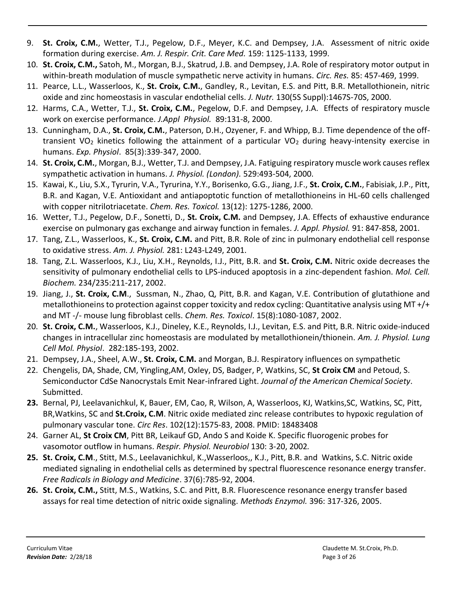- 9. **St. Croix, C.M.**, Wetter, T.J., Pegelow, D.F., Meyer, K.C. and Dempsey, J.A. Assessment of nitric oxide formation during exercise. *Am. J. Respir. Crit. Care Med.* 159: 1125-1133, 1999.
- 10. **St. Croix, C.M.,** Satoh, M., Morgan, B.J., Skatrud, J.B. and Dempsey, J.A. Role of respiratory motor output in within-breath modulation of muscle sympathetic nerve activity in humans. *Circ. Res.* 85: 457-469, 1999.
- 11. Pearce, L.L., Wasserloos, K., **St. Croix, C.M.**, Gandley, R., Levitan, E.S. and Pitt, B.R. Metallothionein, nitric oxide and zinc homeostasis in vascular endothelial cells. *J. Nutr.* 130(5S Suppl):1467S-70S, 2000.
- 12. Harms, C.A., Wetter, T.J., **St. Croix, C.M.**, Pegelow, D.F. and Dempsey, J.A. Effects of respiratory muscle work on exercise performance. *J.Appl Physiol.* 89:131-8, 2000.
- 13. Cunningham, D.A., **St. Croix, C.M.**, Paterson, D.H., Ozyener, F. and Whipp, B.J. Time dependence of the offtransient VO<sub>2</sub> kinetics following the attainment of a particular VO<sub>2</sub> during heavy-intensity exercise in humans. *Exp. Physiol*. 85(3):339-347, 2000.
- 14. **St. Croix, C.M.**, Morgan, B.J., Wetter, T.J. and Dempsey, J.A. Fatiguing respiratory muscle work causes reflex sympathetic activation in humans. *J. Physiol. (London).* 529:493-504, 2000.
- 15. Kawai, K., Liu, S.X., Tyrurin, V.A., Tyrurina, Y.Y., Borisenko, G.G., Jiang, J.F., **St. Croix, C.M.**, Fabisiak, J.P., Pitt, B.R. and Kagan, V.E. Antioxidant and antiapoptotic function of metallothioneins in HL-60 cells challenged with copper nitrilotriacetate. *Chem. Res. Toxicol.* 13(12): 1275-1286, 2000.
- 16. Wetter, T.J., Pegelow, D.F., Sonetti, D., **St. Croix, C.M.** and Dempsey, J.A. Effects of exhaustive endurance exercise on pulmonary gas exchange and airway function in females. *J. Appl. Physiol.* 91: 847-858, 2001.
- 17. Tang, Z.L., Wasserloos, K., **St. Croix, C.M.** and Pitt, B.R. Role of zinc in pulmonary endothelial cell response to oxidative stress. *Am. J. Physiol.* 281: L243-L249, 2001.
- 18. Tang, Z.L. Wasserloos, K.J., Liu, X.H., Reynolds, I.J., Pitt, B.R. and **St. Croix, C.M.** Nitric oxide decreases the sensitivity of pulmonary endothelial cells to LPS-induced apoptosis in a zinc-dependent fashion. *Mol. Cell. Biochem.* 234/235:211-217, 2002.
- 19. Jiang, J., **St. Croix, C.M**., Sussman, N., Zhao, Q, Pitt, B.R. and Kagan, V.E. Contribution of glutathione and metallothioneins to protection against copper toxicity and redox cycling: Quantitative analysis using MT +/+ and MT -/- mouse lung fibroblast cells. *Chem. Res. Toxicol*. 15(8):1080-1087, 2002.
- 20. **St. Croix, C.M.**, Wasserloos, K.J., Dineley, K.E., Reynolds, I.J., Levitan, E.S. and Pitt, B.R. Nitric oxide-induced changes in intracellular zinc homeostasis are modulated by metallothionein/thionein. *Am. J. Physiol. Lung Cell Mol. Physiol*. 282:185-193, 2002.
- 21. Dempsey, J.A., Sheel, A.W., **St. Croix, C.M.** and Morgan, B.J. Respiratory influences on sympathetic
- 22. Chengelis, DA, Shade, CM, Yingling,AM, Oxley, DS, Badger, P, Watkins, SC, **St Croix CM** and Petoud, S. Semiconductor CdSe Nanocrystals Emit Near-infrared Light. *Journal of the American Chemical Society*. Submitted.
- **23.** Bernal, PJ, Leelavanichkul, K, Bauer, EM, Cao, R, Wilson, A, Wasserloos, KJ, Watkins,SC, Watkins, SC, Pitt, BR,Watkins, SC and **St.Croix, C.M**. Nitric oxide mediated zinc release contributes to hypoxic regulation of pulmonary vascular tone. *Circ Res*. 102(12):1575-83, 2008. PMID: 18483408
- 24. Garner AL, **St Croix CM**, Pitt BR, Leikauf GD, Ando S and Koide K. Specific fluorogenic probes for vasomotor outflow in humans. *Respir. Physiol. Neurobiol* 130: 3-20, 2002*.*
- **25. St. Croix, C.M**., Stitt, M.S., Leelavanichkul, K.,Wasserloos,, K.J., Pitt, B.R. and Watkins, S.C. Nitric oxide mediated signaling in endothelial cells as determined by spectral fluorescence resonance energy transfer. *Free Radicals in Biology and Medicine*. 37(6):785-92, 2004.
- **26. St. Croix, C.M.,** Stitt, M.S., Watkins, S.C. and Pitt, B.R. Fluorescence resonance energy transfer based assays for real time detection of nitric oxide signaling. *Methods Enzymol.* 396: 317-326, 2005.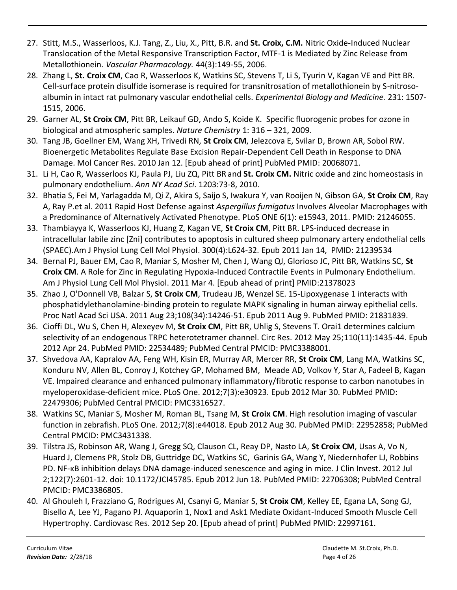- 27. Stitt, M.S., Wasserloos, K.J. Tang, Z., Liu, X., Pitt, B.R. and **St. Croix, C.M.** Nitric Oxide-Induced Nuclear Translocation of the Metal Responsive Transcription Factor, MTF-1 is Mediated by Zinc Release from Metallothionein. *Vascular Pharmacology.* 44(3):149-55, 2006.
- 28. Zhang L, **St. Croix CM**, Cao R, Wasserloos K, Watkins SC, Stevens T, Li S, Tyurin V, Kagan VE and Pitt BR. Cell-surface protein disulfide isomerase is required for transnitrosation of metallothionein by S-nitrosoalbumin in intact rat pulmonary vascular endothelial cells. *Experimental Biology and Medicine.* 231: 1507- 1515, 2006.
- 29. Garner AL, **St Croix CM**, Pitt BR, Leikauf GD, Ando S, Koide K. Specific fluorogenic probes for ozone in biological and atmospheric samples. *Nature Chemistry* 1: 316 – 321, 2009.
- 30. Tang JB, Goellner EM, Wang XH, Trivedi RN, **St Croix CM**, Jelezcova E, Svilar D, Brown AR, Sobol RW. Bioenergetic Metabolites Regulate Base Excision Repair-Dependent Cell Death in Response to DNA Damage. Mol Cancer Res. 2010 Jan 12. [Epub ahead of print] PubMed PMID: 20068071.
- 31. Li H, Cao R, Wasserloos KJ, Paula PJ, Liu ZQ, Pitt BR and **St. Croix CM.** Nitric oxide and zinc homeostasis in pulmonary endothelium. *Ann NY Acad Sci*. 1203:73-8, 2010.
- 32. Bhatia S, Fei M, Yarlagadda M, Qi Z, Akira S, Saijo S, Iwakura Y, van Rooijen N, Gibson GA, **St Croix CM**, Ray A, Ray P.et al. 2011 Rapid Host Defense against *Aspergillus fumigatus* Involves Alveolar Macrophages with a Predominance of Alternatively Activated Phenotype. PLoS ONE 6(1): e15943, 2011. PMID: 21246055.
- 33. Thambiayya K, Wasserloos KJ, Huang Z, Kagan VE, **St Croix CM**, Pitt BR. LPS-induced decrease in intracellular labile zinc [Zni] contributes to apoptosis in cultured sheep pulmonary artery endothelial cells (SPAEC).Am J Physiol Lung Cell Mol Physiol. 300(4):L624-32. Epub 2011 Jan 14, PMID: 21239534
- 34. Bernal PJ, Bauer EM, Cao R, Maniar S, Mosher M, Chen J, Wang QJ, Glorioso JC, Pitt BR, Watkins SC, **St Croix CM**. A Role for Zinc in Regulating Hypoxia-Induced Contractile Events in Pulmonary Endothelium. Am J Physiol Lung Cell Mol Physiol. 2011 Mar 4. [Epub ahead of print] PMID:21378023
- 35. Zhao J, O'Donnell VB, Balzar S, **St Croix CM**, Trudeau JB, Wenzel SE. 15-Lipoxygenase 1 interacts with phosphatidylethanolamine-binding protein to regulate MAPK signaling in human airway epithelial cells. Proc Natl Acad Sci USA. 2011 Aug 23;108(34):14246-51. Epub 2011 Aug 9. PubMed PMID: 21831839.
- 36. Cioffi DL, Wu S, Chen H, Alexeyev M, **St Croix CM**, Pitt BR, Uhlig S, Stevens T. Orai1 determines calcium selectivity of an endogenous TRPC heterotetramer channel. Circ Res. 2012 May 25;110(11):1435-44. Epub 2012 Apr 24. PubMed PMID: 22534489; PubMed Central PMCID: PMC3388001.
- 37. Shvedova AA, Kapralov AA, Feng WH, Kisin ER, Murray AR, Mercer RR, **St Croix CM**, Lang MA, Watkins SC, Konduru NV, Allen BL, Conroy J, Kotchey GP, Mohamed BM, Meade AD, Volkov Y, Star A, Fadeel B, Kagan VE. Impaired clearance and enhanced pulmonary inflammatory/fibrotic response to carbon nanotubes in myeloperoxidase-deficient mice. PLoS One. 2012;7(3):e30923. Epub 2012 Mar 30. PubMed PMID: 22479306; PubMed Central PMCID: PMC3316527.
- 38. Watkins SC, Maniar S, Mosher M, Roman BL, Tsang M, **St Croix CM**. High resolution imaging of vascular function in zebrafish. PLoS One. 2012;7(8):e44018. Epub 2012 Aug 30. PubMed PMID: 22952858; PubMed Central PMCID: PMC3431338.
- 39. Tilstra JS, Robinson AR, Wang J, Gregg SQ, Clauson CL, Reay DP, Nasto LA, **St Croix CM**, Usas A, Vo N, Huard J, Clemens PR, Stolz DB, Guttridge DC, Watkins SC, Garinis GA, Wang Y, Niedernhofer LJ, Robbins PD. NF-κB inhibition delays DNA damage-induced senescence and aging in mice. J Clin Invest. 2012 Jul 2;122(7):2601-12. doi: 10.1172/JCI45785. Epub 2012 Jun 18. PubMed PMID: 22706308; PubMed Central PMCID: PMC3386805.
- 40. Al Ghouleh I, Frazziano G, Rodrigues AI, Csanyi G, Maniar S, **St Croix CM**, Kelley EE, Egana LA, Song GJ, Bisello A, Lee YJ, Pagano PJ. Aquaporin 1, Nox1 and Ask1 Mediate Oxidant-Induced Smooth Muscle Cell Hypertrophy. Cardiovasc Res. 2012 Sep 20. [Epub ahead of print] PubMed PMID: 22997161.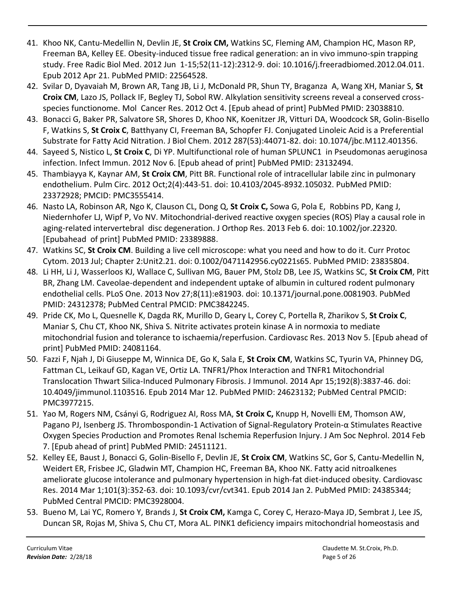- 41. Khoo NK, Cantu-Medellin N, Devlin JE, **St Croix CM,** Watkins SC, Fleming AM, Champion HC, Mason RP, Freeman BA, Kelley EE. Obesity-induced tissue free radical generation: an in vivo immuno-spin trapping study. Free Radic Biol Med. 2012 Jun 1-15;52(11-12):2312-9. doi: 10.1016/j.freeradbiomed.2012.04.011. Epub 2012 Apr 21. PubMed PMID: 22564528.
- 42. Svilar D, Dyavaiah M, Brown AR, Tang JB, Li J, McDonald PR, Shun TY, Braganza A, Wang XH, Maniar S, **St Croix CM**, Lazo JS, Pollack IF, Begley TJ, Sobol RW. Alkylation sensitivity screens reveal a conserved crossspecies functionome. Mol Cancer Res. 2012 Oct 4. [Epub ahead of print] PubMed PMID: 23038810.
- 43. Bonacci G, Baker PR, Salvatore SR, Shores D, Khoo NK, Koenitzer JR, Vitturi DA, Woodcock SR, Golin-Bisello F, Watkins S, **St Croix C**, Batthyany CI, Freeman BA, Schopfer FJ. Conjugated Linoleic Acid is a Preferential Substrate for Fatty Acid Nitration. J Biol Chem. 2012 287(53):44071-82. doi: 10.1074/jbc.M112.401356.
- 44. Sayeed S, Nistico L, **St Croix C**, Di YP. Multifunctional role of human SPLUNC1 in Pseudomonas aeruginosa infection. Infect Immun. 2012 Nov 6. [Epub ahead of print] PubMed PMID: 23132494.
- 45. Thambiayya K, Kaynar AM, **St Croix CM**, Pitt BR. Functional role of intracellular labile zinc in pulmonary endothelium. Pulm Circ. 2012 Oct;2(4):443-51. doi: 10.4103/2045-8932.105032. PubMed PMID: 23372928; PMCID: PMC3555414.
- 46. Nasto LA, Robinson AR, Ngo K, Clauson CL, Dong Q, **St Croix C,** Sowa G, Pola E, Robbins PD, Kang J, Niedernhofer LJ, Wipf P, Vo NV. Mitochondrial-derived reactive oxygen species (ROS) Play a causal role in aging-related intervertebral disc degeneration. J Orthop Res. 2013 Feb 6. doi: 10.1002/jor.22320. [Epubahead of print] PubMed PMID: 23389888.
- 47. Watkins SC, **St Croix CM**. Building a live cell microscope: what you need and how to do it. Curr Protoc Cytom. 2013 Jul; Chapter 2:Unit2.21. doi: 0.1002/0471142956.cy0221s65. PubMed PMID: 23835804.
- 48. Li HH, Li J, Wasserloos KJ, Wallace C, Sullivan MG, Bauer PM, Stolz DB, Lee JS, Watkins SC, **St Croix CM**, Pitt BR, Zhang LM. Caveolae-dependent and independent uptake of albumin in cultured rodent pulmonary endothelial cells. PLoS One. 2013 Nov 27;8(11):e81903. doi: 10.1371/journal.pone.0081903. PubMed PMID: 24312378; PubMed Central PMCID: PMC3842245.
- 49. Pride CK, Mo L, Quesnelle K, Dagda RK, Murillo D, Geary L, Corey C, Portella R, Zharikov S, **St Croix C**, Maniar S, Chu CT, Khoo NK, Shiva S. Nitrite activates protein kinase A in normoxia to mediate mitochondrial fusion and tolerance to ischaemia/reperfusion. Cardiovasc Res. 2013 Nov 5. [Epub ahead of print] PubMed PMID: 24081164.
- 50. Fazzi F, Njah J, Di Giuseppe M, Winnica DE, Go K, Sala E, **St Croix CM**, Watkins SC, Tyurin VA, Phinney DG, Fattman CL, Leikauf GD, Kagan VE, Ortiz LA. TNFR1/Phox Interaction and TNFR1 Mitochondrial Translocation Thwart Silica-Induced Pulmonary Fibrosis. J Immunol. 2014 Apr 15;192(8):3837-46. doi: 10.4049/jimmunol.1103516. Epub 2014 Mar 12. PubMed PMID: 24623132; PubMed Central PMCID: PMC3977215.
- 51. Yao M, Rogers NM, Csányi G, Rodriguez AI, Ross MA, **St Croix C,** Knupp H, Novelli EM, Thomson AW, Pagano PJ, Isenberg JS. Thrombospondin-1 Activation of Signal-Regulatory Protein-α Stimulates Reactive Oxygen Species Production and Promotes Renal Ischemia Reperfusion Injury. J Am Soc Nephrol. 2014 Feb 7. [Epub ahead of print] PubMed PMID: 24511121.
- 52. Kelley EE, Baust J, Bonacci G, Golin-Bisello F, Devlin JE, **St Croix CM**, Watkins SC, Gor S, Cantu-Medellin N, Weidert ER, Frisbee JC, Gladwin MT, Champion HC, Freeman BA, Khoo NK. Fatty acid nitroalkenes ameliorate glucose intolerance and pulmonary hypertension in high-fat diet-induced obesity. Cardiovasc Res. 2014 Mar 1;101(3):352-63. doi: 10.1093/cvr/cvt341. Epub 2014 Jan 2. PubMed PMID: 24385344; PubMed Central PMCID: PMC3928004.
- 53. Bueno M, Lai YC, Romero Y, Brands J, **St Croix CM,** Kamga C, Corey C, Herazo-Maya JD, Sembrat J, Lee JS, Duncan SR, Rojas M, Shiva S, Chu CT, Mora AL. PINK1 deficiency impairs mitochondrial homeostasis and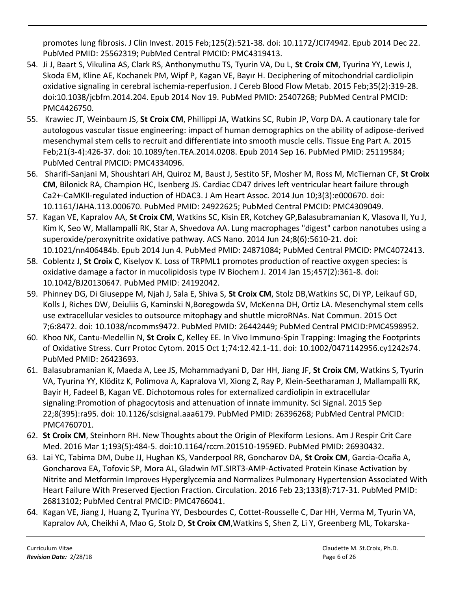promotes lung fibrosis. J Clin Invest. 2015 Feb;125(2):521-38. doi: 10.1172/JCI74942. Epub 2014 Dec 22. PubMed PMID: 25562319; PubMed Central PMCID: PMC4319413.

- 54. Ji J, Baart S, Vikulina AS, Clark RS, Anthonymuthu TS, Tyurin VA, Du L, **St Croix CM**, Tyurina YY, Lewis J, Skoda EM, Kline AE, Kochanek PM, Wipf P, Kagan VE, Bayır H. Deciphering of mitochondrial cardiolipin oxidative signaling in cerebral ischemia-reperfusion. J Cereb Blood Flow Metab. 2015 Feb;35(2):319-28. doi:10.1038/jcbfm.2014.204. Epub 2014 Nov 19. PubMed PMID: 25407268; PubMed Central PMCID: PMC4426750.
- 55. Krawiec JT, Weinbaum JS, **St Croix CM**, Phillippi JA, Watkins SC, Rubin JP, Vorp DA. A cautionary tale for autologous vascular tissue engineering: impact of human demographics on the ability of adipose-derived mesenchymal stem cells to recruit and differentiate into smooth muscle cells. Tissue Eng Part A. 2015 Feb;21(3-4):426-37. doi: 10.1089/ten.TEA.2014.0208. Epub 2014 Sep 16. PubMed PMID: 25119584; PubMed Central PMCID: PMC4334096.
- 56. Sharifi-Sanjani M, Shoushtari AH, Quiroz M, Baust J, Sestito SF, Mosher M, Ross M, McTiernan CF, **St Croix CM**, Bilonick RA, Champion HC, Isenberg JS. Cardiac CD47 drives left ventricular heart failure through Ca2+-CaMKII-regulated induction of HDAC3. J Am Heart Assoc. 2014 Jun 10;3(3):e000670. doi: 10.1161/JAHA.113.000670. PubMed PMID: 24922625; PubMed Central PMCID: PMC4309049.
- 57. Kagan VE, Kapralov AA, **St Croix CM**, Watkins SC, Kisin ER, Kotchey GP,Balasubramanian K, Vlasova II, Yu J, Kim K, Seo W, Mallampalli RK, Star A, Shvedova AA. Lung macrophages "digest" carbon nanotubes using a superoxide/peroxynitrite oxidative pathway. ACS Nano. 2014 Jun 24;8(6):5610-21. doi: 10.1021/nn406484b. Epub 2014 Jun 4. PubMed PMID: 24871084; PubMed Central PMCID: PMC4072413.
- 58. Coblentz J, **St Croix C**, Kiselyov K. Loss of TRPML1 promotes production of reactive oxygen species: is oxidative damage a factor in mucolipidosis type IV Biochem J. 2014 Jan 15;457(2):361-8. doi: 10.1042/BJ20130647. PubMed PMID: 24192042.
- 59. Phinney DG, Di Giuseppe M, Njah J, Sala E, Shiva S, **St Croix CM**, Stolz DB,Watkins SC, Di YP, Leikauf GD, Kolls J, Riches DW, Deiuliis G, Kaminski N,Boregowda SV, McKenna DH, Ortiz LA. Mesenchymal stem cells use extracellular vesicles to outsource mitophagy and shuttle microRNAs. Nat Commun. 2015 Oct 7;6:8472. doi: 10.1038/ncomms9472. PubMed PMID: 26442449; PubMed Central PMCID:PMC4598952.
- 60. Khoo NK, Cantu-Medellin N, **St Croix C**, Kelley EE. In Vivo Immuno-Spin Trapping: Imaging the Footprints of Oxidative Stress. Curr Protoc Cytom. 2015 Oct 1;74:12.42.1-11. doi: 10.1002/0471142956.cy1242s74. PubMed PMID: 26423693.
- 61. Balasubramanian K, Maeda A, Lee JS, Mohammadyani D, Dar HH, Jiang JF, **St Croix CM**, Watkins S, Tyurin VA, Tyurina YY, Klöditz K, Polimova A, Kapralova VI, Xiong Z, Ray P, Klein-Seetharaman J, Mallampalli RK, Bayir H, Fadeel B, Kagan VE. Dichotomous roles for externalized cardiolipin in extracellular signaling:Promotion of phagocytosis and attenuation of innate immunity. Sci Signal. 2015 Sep 22;8(395):ra95. doi: 10.1126/scisignal.aaa6179. PubMed PMID: 26396268; PubMed Central PMCID: PMC4760701.
- 62. **St Croix CM**, Steinhorn RH. New Thoughts about the Origin of Plexiform Lesions. Am J Respir Crit Care Med. 2016 Mar 1;193(5):484-5. doi:10.1164/rccm.201510-1959ED. PubMed PMID: 26930432.
- 63. Lai YC, Tabima DM, Dube JJ, Hughan KS, Vanderpool RR, Goncharov DA, **St Croix CM**, Garcia-Ocaña A, Goncharova EA, Tofovic SP, Mora AL, Gladwin MT.SIRT3-AMP-Activated Protein Kinase Activation by Nitrite and Metformin Improves Hyperglycemia and Normalizes Pulmonary Hypertension Associated With Heart Failure With Preserved Ejection Fraction. Circulation. 2016 Feb 23;133(8):717-31. PubMed PMID: 26813102; PubMed Central PMCID: PMC4766041.
- 64. Kagan VE, Jiang J, Huang Z, Tyurina YY, Desbourdes C, Cottet-Rousselle C, Dar HH, Verma M, Tyurin VA, Kapralov AA, Cheikhi A, Mao G, Stolz D, **St Croix CM**,Watkins S, Shen Z, Li Y, Greenberg ML, Tokarska-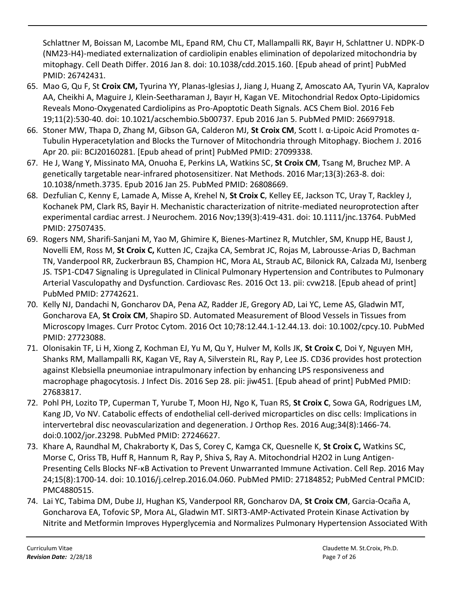Schlattner M, Boissan M, Lacombe ML, Epand RM, Chu CT, Mallampalli RK, Bayır H, Schlattner U. NDPK-D (NM23-H4)-mediated externalization of cardiolipin enables elimination of depolarized mitochondria by mitophagy. Cell Death Differ. 2016 Jan 8. doi: 10.1038/cdd.2015.160. [Epub ahead of print] PubMed PMID: 26742431.

- 65. Mao G, Qu F, St **Croix CM,** Tyurina YY, Planas-Iglesias J, Jiang J, Huang Z, Amoscato AA, Tyurin VA, Kapralov AA, Cheikhi A, Maguire J, Klein-Seetharaman J, Bayır H, Kagan VE. Mitochondrial Redox Opto-Lipidomics Reveals Mono-Oxygenated Cardiolipins as Pro-Apoptotic Death Signals. ACS Chem Biol. 2016 Feb 19;11(2):530-40. doi: 10.1021/acschembio.5b00737. Epub 2016 Jan 5. PubMed PMID: 26697918.
- 66. Stoner MW, Thapa D, Zhang M, Gibson GA, Calderon MJ, **St Croix CM**, Scott I. α-Lipoic Acid Promotes α-Tubulin Hyperacetylation and Blocks the Turnover of Mitochondria through Mitophagy. Biochem J. 2016 Apr 20. pii: BCJ20160281. [Epub ahead of print] PubMed PMID: 27099338.
- 67. He J, Wang Y, Missinato MA, Onuoha E, Perkins LA, Watkins SC, **St Croix CM**, Tsang M, Bruchez MP. A genetically targetable near-infrared photosensitizer. Nat Methods. 2016 Mar;13(3):263-8. doi: 10.1038/nmeth.3735. Epub 2016 Jan 25. PubMed PMID: 26808669.
- 68. Dezfulian C, Kenny E, Lamade A, Misse A, Krehel N, **St Croix C**, Kelley EE, Jackson TC, Uray T, Rackley J, Kochanek PM, Clark RS, Bayir H. Mechanistic characterization of nitrite-mediated neuroprotection after experimental cardiac arrest. J Neurochem. 2016 Nov;139(3):419-431. doi: 10.1111/jnc.13764. PubMed PMID: 27507435.
- 69. Rogers NM, Sharifi-Sanjani M, Yao M, Ghimire K, Bienes-Martinez R, Mutchler, SM, Knupp HE, Baust J, Novelli EM, Ross M, **St Croix C,** Kutten JC, Czajka CA, Sembrat JC, Rojas M, Labrousse-Arias D, Bachman TN, Vanderpool RR, Zuckerbraun BS, Champion HC, Mora AL, Straub AC, Bilonick RA, Calzada MJ, Isenberg JS. TSP1-CD47 Signaling is Upregulated in Clinical Pulmonary Hypertension and Contributes to Pulmonary Arterial Vasculopathy and Dysfunction. Cardiovasc Res. 2016 Oct 13. pii: cvw218. [Epub ahead of print] PubMed PMID: 27742621.
- 70. Kelly NJ, Dandachi N, Goncharov DA, Pena AZ, Radder JE, Gregory AD, Lai YC, Leme AS, Gladwin MT, Goncharova EA, **St Croix CM**, Shapiro SD. Automated Measurement of Blood Vessels in Tissues from Microscopy Images. Curr Protoc Cytom. 2016 Oct 10;78:12.44.1-12.44.13. doi: 10.1002/cpcy.10. PubMed PMID: 27723088.
- 71. Olonisakin TF, Li H, Xiong Z, Kochman EJ, Yu M, Qu Y, Hulver M, Kolls JK, **St Croix C**, Doi Y, Nguyen MH, Shanks RM, Mallampalli RK, Kagan VE, Ray A, Silverstein RL, Ray P, Lee JS. CD36 provides host protection against Klebsiella pneumoniae intrapulmonary infection by enhancing LPS responsiveness and macrophage phagocytosis. J Infect Dis. 2016 Sep 28. pii: jiw451. [Epub ahead of print] PubMed PMID: 27683817.
- 72. Pohl PH, Lozito TP, Cuperman T, Yurube T, Moon HJ, Ngo K, Tuan RS, **St Croix C**, Sowa GA, Rodrigues LM, Kang JD, Vo NV. Catabolic effects of endothelial cell-derived microparticles on disc cells: Implications in intervertebral disc neovascularization and degeneration. J Orthop Res. 2016 Aug;34(8):1466-74. doi:0.1002/jor.23298. PubMed PMID: 27246627.
- 73. Khare A, Raundhal M, Chakraborty K, Das S, Corey C, Kamga CK, Quesnelle K, **St Croix C,** Watkins SC, Morse C, Oriss TB, Huff R, Hannum R, Ray P, Shiva S, Ray A. Mitochondrial H2O2 in Lung Antigen-Presenting Cells Blocks NF-κB Activation to Prevent Unwarranted Immune Activation. Cell Rep. 2016 May 24;15(8):1700-14. doi: 10.1016/j.celrep.2016.04.060. PubMed PMID: 27184852; PubMed Central PMCID: PMC4880515.
- 74. Lai YC, Tabima DM, Dube JJ, Hughan KS, Vanderpool RR, Goncharov DA, **St Croix CM**, Garcia-Ocaña A, Goncharova EA, Tofovic SP, Mora AL, Gladwin MT. SIRT3-AMP-Activated Protein Kinase Activation by Nitrite and Metformin Improves Hyperglycemia and Normalizes Pulmonary Hypertension Associated With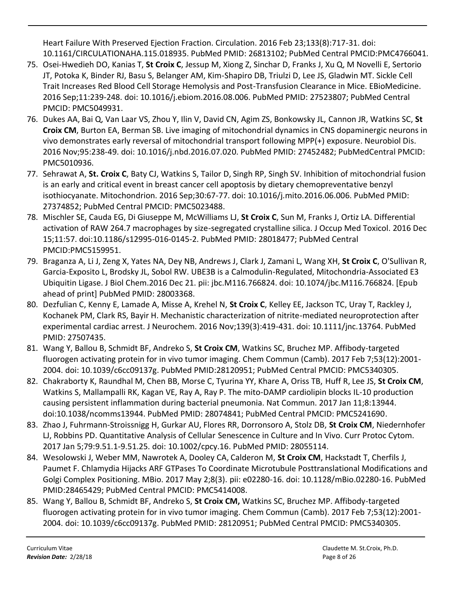Heart Failure With Preserved Ejection Fraction. Circulation. 2016 Feb 23;133(8):717-31. doi: 10.1161/CIRCULATIONAHA.115.018935. PubMed PMID: 26813102; PubMed Central PMCID:PMC4766041.

- 75. Osei-Hwedieh DO, Kanias T, **St Croix C**, Jessup M, Xiong Z, Sinchar D, Franks J, Xu Q, M Novelli E, Sertorio JT, Potoka K, Binder RJ, Basu S, Belanger AM, Kim-Shapiro DB, Triulzi D, Lee JS, Gladwin MT. Sickle Cell Trait Increases Red Blood Cell Storage Hemolysis and Post-Transfusion Clearance in Mice. EBioMedicine. 2016 Sep;11:239-248. doi: 10.1016/j.ebiom.2016.08.006. PubMed PMID: 27523807; PubMed Central PMCID: PMC5049931.
- 76. Dukes AA, Bai Q, Van Laar VS, Zhou Y, Ilin V, David CN, Agim ZS, Bonkowsky JL, Cannon JR, Watkins SC, **St Croix CM**, Burton EA, Berman SB. Live imaging of mitochondrial dynamics in CNS dopaminergic neurons in vivo demonstrates early reversal of mitochondrial transport following MPP(+) exposure. Neurobiol Dis. 2016 Nov;95:238-49. doi: 10.1016/j.nbd.2016.07.020. PubMed PMID: 27452482; PubMedCentral PMCID: PMC5010936.
- 77. Sehrawat A, **St. Croix C**, Baty CJ, Watkins S, Tailor D, Singh RP, Singh SV. Inhibition of mitochondrial fusion is an early and critical event in breast cancer cell apoptosis by dietary chemopreventative benzyl isothiocyanate. Mitochondrion. 2016 Sep;30:67-77. doi: 10.1016/j.mito.2016.06.006. PubMed PMID: 27374852; PubMed Central PMCID: PMC5023488.
- 78. Mischler SE, Cauda EG, Di Giuseppe M, McWilliams LJ, **St Croix C**, Sun M, Franks J, Ortiz LA. Differential activation of RAW 264.7 macrophages by size-segregated crystalline silica. J Occup Med Toxicol. 2016 Dec 15;11:57. doi:10.1186/s12995-016-0145-2. PubMed PMID: 28018477; PubMed Central PMCID:PMC5159951.
- 79. Braganza A, Li J, Zeng X, Yates NA, Dey NB, Andrews J, Clark J, Zamani L, Wang XH, **St Croix C**, O'Sullivan R, Garcia-Exposito L, Brodsky JL, Sobol RW. UBE3B is a Calmodulin-Regulated, Mitochondria-Associated E3 Ubiquitin Ligase. J Biol Chem.2016 Dec 21. pii: jbc.M116.766824. doi: 10.1074/jbc.M116.766824. [Epub ahead of print] PubMed PMID: 28003368.
- 80. Dezfulian C, Kenny E, Lamade A, Misse A, Krehel N, **St Croix C**, Kelley EE, Jackson TC, Uray T, Rackley J, Kochanek PM, Clark RS, Bayir H. Mechanistic characterization of nitrite-mediated neuroprotection after experimental cardiac arrest. J Neurochem. 2016 Nov;139(3):419-431. doi: 10.1111/jnc.13764. PubMed PMID: 27507435.
- 81. Wang Y, Ballou B, Schmidt BF, Andreko S, **St Croix CM**, Watkins SC, Bruchez MP. Affibody-targeted fluorogen activating protein for in vivo tumor imaging. Chem Commun (Camb). 2017 Feb 7;53(12):2001- 2004. doi: 10.1039/c6cc09137g. PubMed PMID:28120951; PubMed Central PMCID: PMC5340305.
- 82. Chakraborty K, Raundhal M, Chen BB, Morse C, Tyurina YY, Khare A, Oriss TB, Huff R, Lee JS, **St Croix CM**, Watkins S, Mallampalli RK, Kagan VE, Ray A, Ray P. The mito-DAMP cardiolipin blocks IL-10 production causing persistent inflammation during bacterial pneumonia. Nat Commun. 2017 Jan 11;8:13944. doi:10.1038/ncomms13944. PubMed PMID: 28074841; PubMed Central PMCID: PMC5241690.
- 83. Zhao J, Fuhrmann-Stroissnigg H, Gurkar AU, Flores RR, Dorronsoro A, Stolz DB, **St Croix CM**, Niedernhofer LJ, Robbins PD. Quantitative Analysis of Cellular Senescence in Culture and In Vivo. Curr Protoc Cytom. 2017 Jan 5;79:9.51.1-9.51.25. doi: 10.1002/cpcy.16. PubMed PMID: 28055114.
- 84. Wesolowski J, Weber MM, Nawrotek A, Dooley CA, Calderon M, **St Croix CM**, Hackstadt T, Cherfils J, Paumet F. Chlamydia Hijacks ARF GTPases To Coordinate Microtubule Posttranslational Modifications and Golgi Complex Positioning. MBio. 2017 May 2;8(3). pii: e02280-16. doi: 10.1128/mBio.02280-16. PubMed PMID:28465429; PubMed Central PMCID: PMC5414008.
- 85. Wang Y, Ballou B, Schmidt BF, Andreko S, **St Croix CM,** Watkins SC, Bruchez MP. Affibody-targeted fluorogen activating protein for in vivo tumor imaging. Chem Commun (Camb). 2017 Feb 7;53(12):2001- 2004. doi: 10.1039/c6cc09137g. PubMed PMID: 28120951; PubMed Central PMCID: PMC5340305.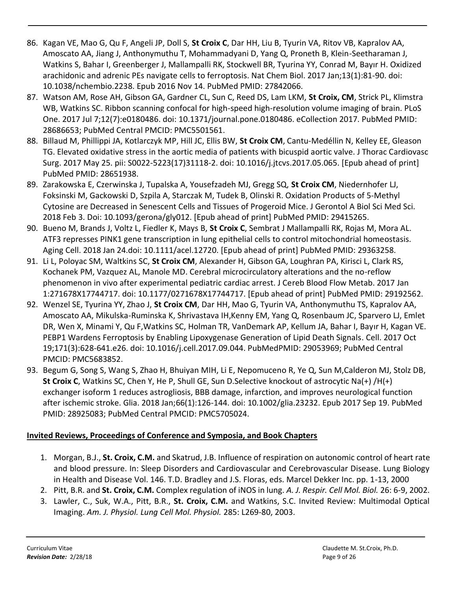- 86. Kagan VE, Mao G, Qu F, Angeli JP, Doll S, **St Croix C**, Dar HH, Liu B, Tyurin VA, Ritov VB, Kapralov AA, Amoscato AA, Jiang J, Anthonymuthu T, Mohammadyani D, Yang Q, Proneth B, Klein-Seetharaman J, Watkins S, Bahar I, Greenberger J, Mallampalli RK, Stockwell BR, Tyurina YY, Conrad M, Bayır H. Oxidized arachidonic and adrenic PEs navigate cells to ferroptosis. Nat Chem Biol. 2017 Jan;13(1):81-90. doi: 10.1038/nchembio.2238. Epub 2016 Nov 14. PubMed PMID: 27842066.
- 87. Watson AM, Rose AH, Gibson GA, Gardner CL, Sun C, Reed DS, Lam LKM, **St Croix, CM**, Strick PL, Klimstra WB, Watkins SC. Ribbon scanning confocal for high-speed high-resolution volume imaging of brain. PLoS One. 2017 Jul 7;12(7):e0180486. doi: 10.1371/journal.pone.0180486. eCollection 2017. PubMed PMID: 28686653; PubMed Central PMCID: PMC5501561.
- 88. Billaud M, Phillippi JA, Kotlarczyk MP, Hill JC, Ellis BW, **St Croix CM**, Cantu-Medéllin N, Kelley EE, Gleason TG. Elevated oxidative stress in the aortic media of patients with bicuspid aortic valve. J Thorac Cardiovasc Surg. 2017 May 25. pii: S0022-5223(17)31118-2. doi: 10.1016/j.jtcvs.2017.05.065. [Epub ahead of print] PubMed PMID: 28651938.
- 89. Zarakowska E, Czerwinska J, Tupalska A, Yousefzadeh MJ, Gregg SQ, **St Croix CM**, Niedernhofer LJ, Foksinski M, Gackowski D, Szpila A, Starczak M, Tudek B, Olinski R. Oxidation Products of 5-Methyl Cytosine are Decreased in Senescent Cells and Tissues of Progeroid Mice. J Gerontol A Biol Sci Med Sci. 2018 Feb 3. Doi: 10.1093/gerona/gly012. [Epub ahead of print] PubMed PMID: 29415265.
- 90. Bueno M, Brands J, Voltz L, Fiedler K, Mays B, **St Croix C**, Sembrat J Mallampalli RK, Rojas M, Mora AL. ATF3 represses PINK1 gene transcription in lung epithelial cells to control mitochondrial homeostasis. Aging Cell. 2018 Jan 24.doi: 10.1111/acel.12720. [Epub ahead of print] PubMed PMID: 29363258.
- 91. Li L, Poloyac SM, Waltkins SC, **St Croix CM**, Alexander H, Gibson GA, Loughran PA, Kirisci L, Clark RS, Kochanek PM, Vazquez AL, Manole MD. Cerebral microcirculatory alterations and the no-reflow phenomenon in vivo after experimental pediatric cardiac arrest. J Cereb Blood Flow Metab. 2017 Jan 1:271678X17744717. doi: 10.1177/0271678X17744717. [Epub ahead of print] PubMed PMID: 29192562.
- 92. Wenzel SE, Tyurina YY, Zhao J, **St Croix CM**, Dar HH, Mao G, Tyurin VA, Anthonymuthu TS, Kapralov AA, Amoscato AA, Mikulska-Ruminska K, Shrivastava IH,Kenny EM, Yang Q, Rosenbaum JC, Sparvero LJ, Emlet DR, Wen X, Minami Y, Qu F,Watkins SC, Holman TR, VanDemark AP, Kellum JA, Bahar I, Bayır H, Kagan VE. PEBP1 Wardens Ferroptosis by Enabling Lipoxygenase Generation of Lipid Death Signals. Cell. 2017 Oct 19;171(3):628-641.e26. doi: 10.1016/j.cell.2017.09.044. PubMedPMID: 29053969; PubMed Central PMCID: PMC5683852.
- 93. Begum G, Song S, Wang S, Zhao H, Bhuiyan MIH, Li E, Nepomuceno R, Ye Q, Sun M,Calderon MJ, Stolz DB, **St Croix C**, Watkins SC, Chen Y, He P, Shull GE, Sun D.Selective knockout of astrocytic Na(+) /H(+) exchanger isoform 1 reduces astrogliosis, BBB damage, infarction, and improves neurological function after ischemic stroke. Glia. 2018 Jan;66(1):126-144. doi: 10.1002/glia.23232. Epub 2017 Sep 19. PubMed PMID: 28925083; PubMed Central PMCID: PMC5705024.

# **Invited Reviews, Proceedings of Conference and Symposia, and Book Chapters**

- 1. Morgan, B.J., **St. Croix, C.M.** and Skatrud, J.B. Influence of respiration on autonomic control of heart rate and blood pressure. In: Sleep Disorders and Cardiovascular and Cerebrovascular Disease. Lung Biology in Health and Disease Vol. 146. T.D. Bradley and J.S. Floras, eds. Marcel Dekker Inc. pp. 1-13, 2000
- 2. Pitt, B.R. and **St. Croix, C.M.** Complex regulation of iNOS in lung. *A. J. Respir. Cell Mol. Biol.* 26: 6-9, 2002.
- 3. Lawler, C., Suk, W.A., Pitt, B.R., **St. Croix, C.M.** and Watkins, S.C. Invited Review: Multimodal Optical Imaging. *Am. J. Physiol. Lung Cell Mol. Physiol.* 285: L269-80, 2003.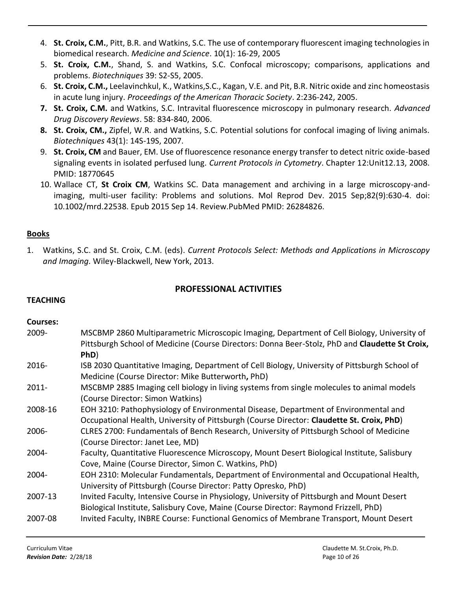- 4. **St. Croix, C.M.**, Pitt, B.R. and Watkins, S.C. The use of contemporary fluorescent imaging technologies in biomedical research. *Medicine and Science*. 10(1): 16-29, 2005
- 5. **St. Croix, C.M.**, Shand, S. and Watkins, S.C. Confocal microscopy; comparisons, applications and problems. *Biotechniques* 39: S2-S5, 2005.
- 6. **St. Croix, C.M.,** Leelavinchkul, K., Watkins,S.C., Kagan, V.E. and Pit, B.R. Nitric oxide and zinc homeostasis in acute lung injury. *Proceedings of the American Thoracic Society*. 2:236-242, 2005.
- **7. St. Croix, C.M.** and Watkins, S.C. Intravital fluorescence microscopy in pulmonary research. *Advanced Drug Discovery Reviews*. 58: 834-840, 2006.
- **8. St. Croix, CM.,** Zipfel, W.R. and Watkins, S.C. Potential solutions for confocal imaging of living animals. *Biotechniques* 43(1): 14S-19S, 2007.
- 9. **St. Croix, CM** and Bauer, EM. Use of fluorescence resonance energy transfer to detect nitric oxide-based signaling events in isolated perfused lung. *Current Protocols in Cytometry*. Chapter 12:Unit12.13, 2008. PMID: 18770645
- 10. Wallace CT, **St Croix CM**, Watkins SC. Data management and archiving in a large microscopy-andimaging, multi-user facility: Problems and solutions. Mol Reprod Dev. 2015 Sep;82(9):630-4. doi: 10.1002/mrd.22538. Epub 2015 Sep 14. Review.PubMed PMID: 26284826.

# **Books**

1. Watkins, S.C. and St. Croix, C.M. (eds). *Current Protocols Select: Methods and Applications in Microscopy and Imaging.* Wiley-Blackwell, New York, 2013.

# **PROFESSIONAL ACTIVITIES**

### **TEACHING**

### **Courses:**

| 2009-    | MSCBMP 2860 Multiparametric Microscopic Imaging, Department of Cell Biology, University of<br>Pittsburgh School of Medicine (Course Directors: Donna Beer-Stolz, PhD and Claudette St Croix,<br>PhD) |
|----------|------------------------------------------------------------------------------------------------------------------------------------------------------------------------------------------------------|
| $2016 -$ | ISB 2030 Quantitative Imaging, Department of Cell Biology, University of Pittsburgh School of<br>Medicine (Course Director: Mike Butterworth, PhD)                                                   |
| $2011 -$ | MSCBMP 2885 Imaging cell biology in living systems from single molecules to animal models<br>(Course Director: Simon Watkins)                                                                        |
| 2008-16  | EOH 3210: Pathophysiology of Environmental Disease, Department of Environmental and<br>Occupational Health, University of Pittsburgh (Course Director: Claudette St. Croix, PhD)                     |
| 2006-    | CLRES 2700: Fundamentals of Bench Research, University of Pittsburgh School of Medicine<br>(Course Director: Janet Lee, MD)                                                                          |
| 2004-    | Faculty, Quantitative Fluorescence Microscopy, Mount Desert Biological Institute, Salisbury<br>Cove, Maine (Course Director, Simon C. Watkins, PhD)                                                  |
| 2004-    | EOH 2310: Molecular Fundamentals, Department of Environmental and Occupational Health,<br>University of Pittsburgh (Course Director: Patty Opresko, PhD)                                             |
| 2007-13  | Invited Faculty, Intensive Course in Physiology, University of Pittsburgh and Mount Desert<br>Biological Institute, Salisbury Cove, Maine (Course Director: Raymond Frizzell, PhD)                   |
| 2007-08  | Invited Faculty, INBRE Course: Functional Genomics of Membrane Transport, Mount Desert                                                                                                               |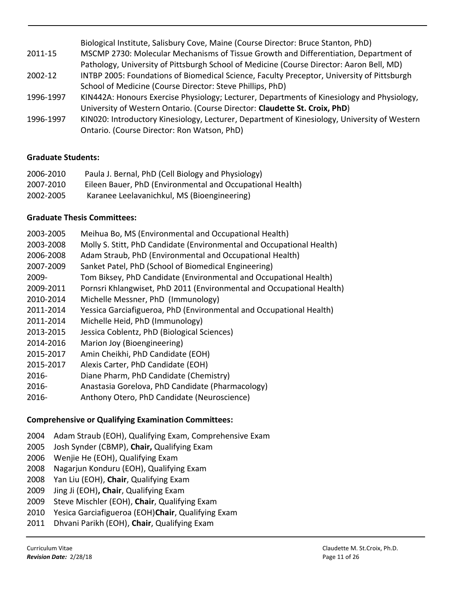Biological Institute, Salisbury Cove, Maine (Course Director: Bruce Stanton, PhD) 2011-15 MSCMP 2730: Molecular Mechanisms of Tissue Growth and Differentiation, Department of Pathology, University of Pittsburgh School of Medicine (Course Director: Aaron Bell, MD) 2002-12 INTBP 2005: Foundations of Biomedical Science, Faculty Preceptor, University of Pittsburgh School of Medicine (Course Director: Steve Phillips, PhD) 1996-1997 KIN442A: Honours Exercise Physiology; Lecturer, Departments of Kinesiology and Physiology, University of Western Ontario. (Course Director: **Claudette St. Croix, PhD**) 1996-1997 KIN020: Introductory Kinesiology, Lecturer, Department of Kinesiology, University of Western Ontario. (Course Director: Ron Watson, PhD)

# **Graduate Students:**

| 2006-2010 | Paula J. Bernal, PhD (Cell Biology and Physiology)        |
|-----------|-----------------------------------------------------------|
| 2007-2010 | Eileen Bauer, PhD (Environmental and Occupational Health) |
| 2002-2005 | Karanee Leelavanichkul, MS (Bioengineering)               |

# **Graduate Thesis Committees:**

- 2003-2005 Meihua Bo, MS (Environmental and Occupational Health)
- 2003-2008 Molly S. Stitt, PhD Candidate (Environmental and Occupational Health)
- 2006-2008 Adam Straub, PhD (Environmental and Occupational Health)
- 2007-2009 Sanket Patel, PhD (School of Biomedical Engineering)
- 2009- Tom Biksey, PhD Candidate (Environmental and Occupational Health)
- 2009-2011 Pornsri Khlangwiset, PhD 2011 (Environmental and Occupational Health)
- 2010-2014 Michelle Messner, PhD (Immunology)
- 2011-2014 Yessica Garciafigueroa, PhD (Environmental and Occupational Health)
- 2011-2014 Michelle Heid, PhD (Immunology)
- 2013-2015 Jessica Coblentz, PhD (Biological Sciences)
- 2014-2016 Marion Joy (Bioengineering)
- 2015-2017 Amin Cheikhi, PhD Candidate (EOH)
- 2015-2017 Alexis Carter, PhD Candidate (EOH)
- 2016- Diane Pharm, PhD Candidate (Chemistry)
- 2016- Anastasia Gorelova, PhD Candidate (Pharmacology)
- 2016- Anthony Otero, PhD Candidate (Neuroscience)

### **Comprehensive or Qualifying Examination Committees:**

- 2004 Adam Straub (EOH), Qualifying Exam, Comprehensive Exam
- 2005 Josh Synder (CBMP), **Chair,** Qualifying Exam
- 2006 Wenjie He (EOH), Qualifying Exam
- 2008 Nagarjun Konduru (EOH), Qualifying Exam
- 2008 Yan Liu (EOH), **Chair**, Qualifying Exam
- 2009 Jing Ji (EOH)**, Chair**, Qualifying Exam
- 2009 Steve Mischler (EOH), **Chair**, Qualifying Exam
- 2010 Yesica Garciafigueroa (EOH)**Chair**, Qualifying Exam
- 2011 Dhvani Parikh (EOH), **Chair**, Qualifying Exam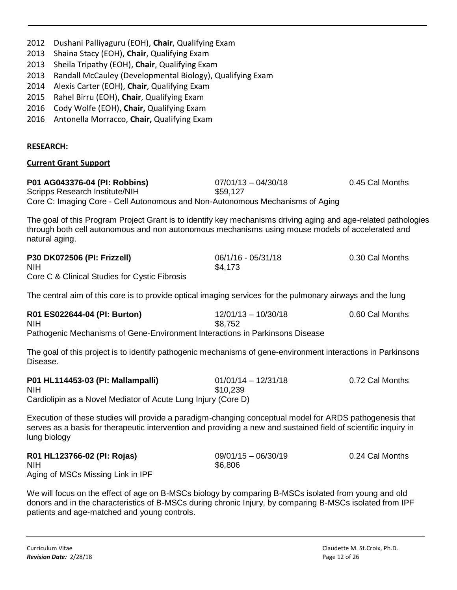| 2013<br>Sheila Tripathy (EOH), Chair, Qualifying Exam<br>Randall McCauley (Developmental Biology), Qualifying Exam<br>2013<br>2014<br>Alexis Carter (EOH), Chair, Qualifying Exam<br>Rahel Birru (EOH), Chair, Qualifying Exam<br>2015<br>Cody Wolfe (EOH), Chair, Qualifying Exam<br>2016<br>2016<br>Antonella Morracco, Chair, Qualifying Exam |                                   |                 |
|--------------------------------------------------------------------------------------------------------------------------------------------------------------------------------------------------------------------------------------------------------------------------------------------------------------------------------------------------|-----------------------------------|-----------------|
| <b>RESEARCH:</b>                                                                                                                                                                                                                                                                                                                                 |                                   |                 |
| <b>Current Grant Support</b>                                                                                                                                                                                                                                                                                                                     |                                   |                 |
| P01 AG043376-04 (PI: Robbins)<br>Scripps Research Institute/NIH<br>Core C: Imaging Core - Cell Autonomous and Non-Autonomous Mechanisms of Aging                                                                                                                                                                                                 | $07/01/13 - 04/30/18$<br>\$59,127 | 0.45 Cal Months |
| The goal of this Program Project Grant is to identify key mechanisms driving aging and age-related pathologies<br>through both cell autonomous and non autonomous mechanisms using mouse models of accelerated and<br>natural aging.                                                                                                             |                                   |                 |
| P30 DK072506 (PI: Frizzell)<br><b>NIH</b><br>Core C & Clinical Studies for Cystic Fibrosis                                                                                                                                                                                                                                                       | 06/1/16 - 05/31/18<br>\$4,173     | 0.30 Cal Months |
| The central aim of this core is to provide optical imaging services for the pulmonary airways and the lung                                                                                                                                                                                                                                       |                                   |                 |
| R01 ES022644-04 (PI: Burton)<br><b>NIH</b><br>Pathogenic Mechanisms of Gene-Environment Interactions in Parkinsons Disease                                                                                                                                                                                                                       | $12/01/13 - 10/30/18$<br>\$8,752  | 0.60 Cal Months |
| The goal of this project is to identify pathogenic mechanisms of gene-environment interactions in Parkinsons<br>Disease.                                                                                                                                                                                                                         |                                   |                 |
| P01 HL114453-03 (PI: Mallampalli)<br><b>NIH</b><br>Cardiolipin as a Novel Mediator of Acute Lung Injury (Core D)                                                                                                                                                                                                                                 | $01/01/14 - 12/31/18$<br>\$10,239 | 0.72 Cal Months |
| Execution of these studies will provide a paradigm-changing conceptual model for ARDS pathogenesis that<br>serves as a basis for therapeutic intervention and providing a new and sustained field of scientific inquiry in<br>lung biology                                                                                                       |                                   |                 |
| R01 HL123766-02 (PI: Rojas)<br><b>NIH</b><br>Aging of MSCs Missing Link in IPF                                                                                                                                                                                                                                                                   | $09/01/15 - 06/30/19$<br>\$6,806  | 0.24 Cal Months |
| We will focus on the effect of age on B-MSCs biology by comparing B-MSCs isolated from young and old<br>donors and in the characteristics of B-MSCs during chronic Injury, by comparing B-MSCs isolated from IPF<br>patients and age-matched and young controls.                                                                                 |                                   |                 |

2012 Dushani Palliyaguru (EOH), **Chair**, Qualifying Exam

2013 Shaina Stacy (EOH), **Chair**, Qualifying Exam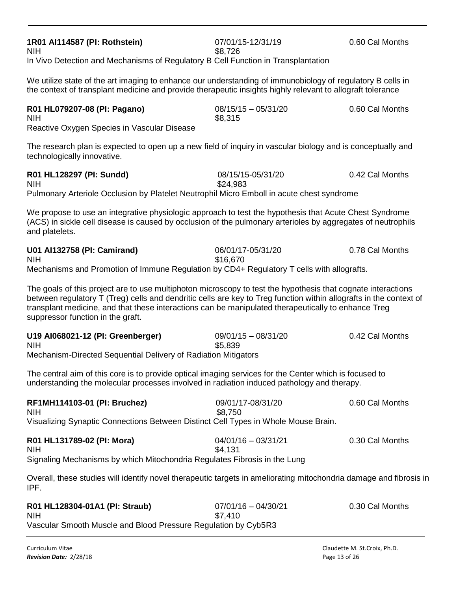| NIH<br>Reactive Oxygen Species in Vascular Disease                                                                                                                                                                                                                                                                                                                             | 38,315                           |                 |
|--------------------------------------------------------------------------------------------------------------------------------------------------------------------------------------------------------------------------------------------------------------------------------------------------------------------------------------------------------------------------------|----------------------------------|-----------------|
| The research plan is expected to open up a new field of inquiry in vascular biology and is conceptually and<br>technologically innovative.                                                                                                                                                                                                                                     |                                  |                 |
| R01 HL128297 (PI: Sundd)<br>NIH<br>Pulmonary Arteriole Occlusion by Platelet Neutrophil Micro Emboll in acute chest syndrome                                                                                                                                                                                                                                                   | 08/15/15-05/31/20<br>\$24,983    | 0.42 Cal Months |
| We propose to use an integrative physiologic approach to test the hypothesis that Acute Chest Syndrome<br>(ACS) in sickle cell disease is caused by occlusion of the pulmonary arterioles by aggregates of neutrophils<br>and platelets.                                                                                                                                       |                                  |                 |
| U01 Al132758 (PI: Camirand)<br>NIH<br>Mechanisms and Promotion of Immune Regulation by CD4+ Regulatory T cells with allografts.                                                                                                                                                                                                                                                | 06/01/17-05/31/20<br>\$16,670    | 0.78 Cal Months |
| The goals of this project are to use multiphoton microscopy to test the hypothesis that cognate interactions<br>between regulatory T (Treg) cells and dendritic cells are key to Treg function within allografts in the context of<br>transplant medicine, and that these interactions can be manipulated therapeutically to enhance Treg<br>suppressor function in the graft. |                                  |                 |
| U19 AI068021-12 (PI: Greenberger)<br>NIH<br>Mechanism-Directed Sequential Delivery of Radiation Mitigators                                                                                                                                                                                                                                                                     | $09/01/15 - 08/31/20$<br>\$5,839 | 0.42 Cal Months |
| The central aim of this core is to provide optical imaging services for the Center which is focused to<br>understanding the molecular processes involved in radiation induced pathology and therapy.                                                                                                                                                                           |                                  |                 |
| RF1MH114103-01 (PI: Bruchez)<br>NIH<br>Visualizing Synaptic Connections Between Distinct Cell Types in Whole Mouse Brain.                                                                                                                                                                                                                                                      | 09/01/17-08/31/20<br>\$8,750     | 0.60 Cal Months |
| R01 HL131789-02 (PI: Mora)<br>NIH.<br>Signaling Mechanisms by which Mitochondria Regulates Fibrosis in the Lung                                                                                                                                                                                                                                                                | $04/01/16 - 03/31/21$<br>S4 131  | 0.30 Cal Months |
| Overall, these studies will identify novel therapeutic targets in ameliorating mitochondria damage and fibrosis in<br>IPF.                                                                                                                                                                                                                                                     |                                  |                 |
| R01 HL128304-01A1 (PI: Straub)<br>NIH                                                                                                                                                                                                                                                                                                                                          | $07/01/16 - 04/30/21$<br>\$7.410 | 0.30 Cal Months |

NIH \$7,410 Vascular Smooth Muscle and Blood Pressure Regulation by Cyb5R3

**1R01 AI114587 (PI: Rothstein)** 07/01/15-12/31/19 0.60 Cal Months

NIH \$8,726 In Vivo Detection and Mechanisms of Regulatory B Cell Function in Transplantation

We utilize state of the art imaging to enhance our understanding of immunobiology of regulatory B cells in the context of transplant medicine and provide therapeutic insights highly relevant to allograft tolerance

| R01 HL079207-08 (PI: Pagano)                | $08/15/15 - 05/31/20$ | 0.60 Cal Months |
|---------------------------------------------|-----------------------|-----------------|
| NIH                                         | \$8,315               |                 |
| Reactive Oxygen Species in Vascular Disease |                       |                 |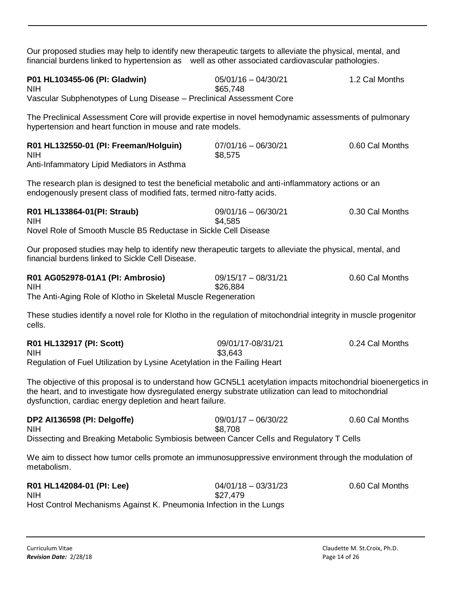Our proposed studies may help to identify new therapeutic targets to alleviate the physical, mental, and financial burdens linked to hypertension as well as other associated cardiovascular pathologies.

| P01 HL103455-06 (PI: Gladwin)                                        | $05/01/16 - 04/30/21$ | 1.2 Cal Months |
|----------------------------------------------------------------------|-----------------------|----------------|
| <b>NIH</b>                                                           | \$65.748              |                |
| Vascular Subphenotypes of Lung Disease – Preclinical Assessment Core |                       |                |

The Preclinical Assessment Core will provide expertise in novel hemodynamic assessments of pulmonary hypertension and heart function in mouse and rate models.

| R01 HL132550-01 (PI: Freeman/Holguin)      | $07/01/16 - 06/30/21$ | 0.60 Cal Months |
|--------------------------------------------|-----------------------|-----------------|
| <b>NIH</b>                                 | \$8,575               |                 |
| Anti-Infammatory Lipid Mediators in Asthma |                       |                 |

The research plan is designed to test the beneficial metabolic and anti-inflammatory actions or an endogenously present class of modified fats, termed nitro-fatty acids.

| R01 HL133864-01(PI: Straub)                                     | $09/01/16 - 06/30/21$ | 0.30 Cal Months |
|-----------------------------------------------------------------|-----------------------|-----------------|
| <b>NIH</b>                                                      | \$4.585               |                 |
| Novel Role of Smooth Muscle B5 Reductase in Sickle Cell Disease |                       |                 |

Our proposed studies may help to identify new therapeutic targets to alleviate the physical, mental, and financial burdens linked to Sickle Cell Disease.

| R01 AG052978-01A1 (PI: Ambrosio)                              | 09/15/17 - 08/31/21 | 0.60 Cal Months |
|---------------------------------------------------------------|---------------------|-----------------|
| <b>NIH</b>                                                    | \$26,884            |                 |
| The Anti-Aging Role of Klotho in Skeletal Muscle Regeneration |                     |                 |

These studies identify a novel role for Klotho in the regulation of mitochondrial integrity in muscle progenitor cells.

| R01 HL132917 (PI: Scott)                                                  | 09/01/17-08/31/21 | 0.24 Cal Months |
|---------------------------------------------------------------------------|-------------------|-----------------|
| <b>NIH</b>                                                                | \$3.643           |                 |
| Regulation of Fuel Utilization by Lysine Acetylation in the Failing Heart |                   |                 |

The objective of this proposal is to understand how GCN5L1 acetylation impacts mitochondrial bioenergetics in the heart, and to investigate how dysregulated energy substrate utilization can lead to mitochondrial dysfunction, cardiac energy depletion and heart failure.

| DP2 Al136598 (PI: Delgoffe)                                                             | $09/01/17 - 06/30/22$ | 0.60 Cal Months |
|-----------------------------------------------------------------------------------------|-----------------------|-----------------|
| <b>NIH</b>                                                                              | \$8.708               |                 |
| Dissecting and Breaking Metabolic Symbiosis between Cancer Cells and Regulatory T Cells |                       |                 |

We aim to dissect how tumor cells promote an immunosuppressive environment through the modulation of metabolism.

| R01 HL142084-01 (PI: Lee)                                           | $04/01/18 - 03/31/23$ | 0.60 Cal Months |
|---------------------------------------------------------------------|-----------------------|-----------------|
| <b>NIH</b>                                                          | \$27.479              |                 |
| Host Control Mechanisms Against K. Pneumonia Infection in the Lungs |                       |                 |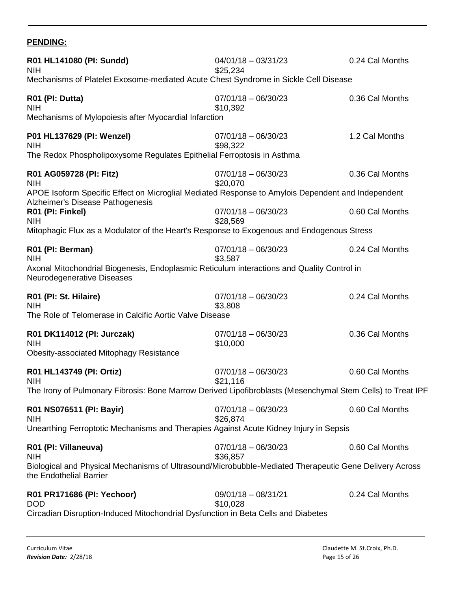# **PENDING:**

| R01 HL141080 (PI: Sundd)<br><b>NIH</b><br>Mechanisms of Platelet Exosome-mediated Acute Chest Syndrome in Sickle Cell Disease                                                                      | $04/01/18 - 03/31/23$<br>\$25,234                          | 0.24 Cal Months                    |
|----------------------------------------------------------------------------------------------------------------------------------------------------------------------------------------------------|------------------------------------------------------------|------------------------------------|
| R01 (PI: Dutta)<br><b>NIH</b><br>Mechanisms of Mylopoiesis after Myocardial Infarction                                                                                                             | $07/01/18 - 06/30/23$<br>\$10,392                          | 0.36 Cal Months                    |
| P01 HL137629 (PI: Wenzel)<br><b>NIH</b><br>The Redox Phospholipoxysome Regulates Epithelial Ferroptosis in Asthma                                                                                  | $07/01/18 - 06/30/23$<br>\$98,322                          | 1.2 Cal Months                     |
| R01 AG059728 (PI: Fitz)<br><b>NIH</b><br>APOE Isoform Specific Effect on Microglial Mediated Response to Amylois Dependent and Independent<br>Alzheimer's Disease Pathogenesis<br>R01 (PI: Finkel) | $07/01/18 - 06/30/23$<br>\$20,070<br>$07/01/18 - 06/30/23$ | 0.36 Cal Months<br>0.60 Cal Months |
| <b>NIH</b><br>Mitophagic Flux as a Modulator of the Heart's Response to Exogenous and Endogenous Stress                                                                                            | \$28,569                                                   |                                    |
| R01 (PI: Berman)<br><b>NIH</b><br>Axonal Mitochondrial Biogenesis, Endoplasmic Reticulum interactions and Quality Control in<br>Neurodegenerative Diseases                                         | $07/01/18 - 06/30/23$<br>\$3,587                           | 0.24 Cal Months                    |
| R01 (PI: St. Hilaire)<br><b>NIH</b><br>The Role of Telomerase in Calcific Aortic Valve Disease                                                                                                     | $07/01/18 - 06/30/23$<br>\$3,808                           | 0.24 Cal Months                    |
| R01 DK114012 (PI: Jurczak)<br><b>NIH</b><br><b>Obesity-associated Mitophagy Resistance</b>                                                                                                         | $07/01/18 - 06/30/23$<br>\$10,000                          | 0.36 Cal Months                    |
| R01 HL143749 (PI: Ortiz)<br><b>NIH</b><br>The Irony of Pulmonary Fibrosis: Bone Marrow Derived Lipofibroblasts (Mesenchymal Stem Cells) to Treat IPF                                               | $07/01/18 - 06/30/23$<br>\$21,116                          | 0.60 Cal Months                    |
| R01 NS076511 (PI: Bayir)<br><b>NIH</b><br>Unearthing Ferroptotic Mechanisms and Therapies Against Acute Kidney Injury in Sepsis                                                                    | $07/01/18 - 06/30/23$<br>\$26,874                          | 0.60 Cal Months                    |
| R01 (PI: Villaneuva)<br><b>NIH</b><br>Biological and Physical Mechanisms of Ultrasound/Microbubble-Mediated Therapeutic Gene Delivery Across<br>the Endothelial Barrier                            | $07/01/18 - 06/30/23$<br>\$36,857                          | 0.60 Cal Months                    |
| R01 PR171686 (PI: Yechoor)<br><b>DOD</b><br>Circadian Disruption-Induced Mitochondrial Dysfunction in Beta Cells and Diabetes                                                                      | $09/01/18 - 08/31/21$<br>\$10,028                          | 0.24 Cal Months                    |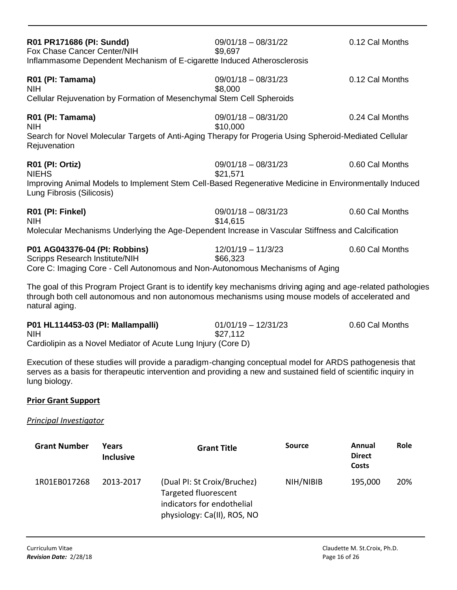| R01 PR171686 (PI: Sundd)<br>Fox Chase Cancer Center/NIH<br>Inflammasome Dependent Mechanism of E-cigarette Induced Atherosclerosis                                                                                                   | $09/01/18 - 08/31/22$<br>\$9,697  | 0.12 Cal Months |
|--------------------------------------------------------------------------------------------------------------------------------------------------------------------------------------------------------------------------------------|-----------------------------------|-----------------|
| R01 (PI: Tamama)<br><b>NIH</b><br>Cellular Rejuvenation by Formation of Mesenchymal Stem Cell Spheroids                                                                                                                              | $09/01/18 - 08/31/23$<br>\$8,000  | 0.12 Cal Months |
| R01 (PI: Tamama)<br><b>NIH</b><br>Search for Novel Molecular Targets of Anti-Aging Therapy for Progeria Using Spheroid-Mediated Cellular<br>Rejuvenation                                                                             | $09/01/18 - 08/31/20$<br>\$10,000 | 0.24 Cal Months |
| R01 (PI: Ortiz)<br><b>NIEHS</b><br>Improving Animal Models to Implement Stem Cell-Based Regenerative Medicine in Environmentally Induced<br>Lung Fibrosis (Silicosis)                                                                | $09/01/18 - 08/31/23$<br>\$21,571 | 0.60 Cal Months |
| R01 (PI: Finkel)<br><b>NIH</b><br>Molecular Mechanisms Underlying the Age-Dependent Increase in Vascular Stiffness and Calcification                                                                                                 | $09/01/18 - 08/31/23$<br>\$14,615 | 0.60 Cal Months |
| P01 AG043376-04 (PI: Robbins)<br><b>Scripps Research Institute/NIH</b><br>Core C: Imaging Core - Cell Autonomous and Non-Autonomous Mechanisms of Aging                                                                              | $12/01/19 - 11/3/23$<br>\$66,323  | 0.60 Cal Months |
| The goal of this Program Project Grant is to identify key mechanisms driving aging and age-related pathologies<br>through both cell autonomous and non autonomous mechanisms using mouse models of accelerated and<br>natural aging. |                                   |                 |

| P01 HL114453-03 (PI: Mallampalli)                             | $01/01/19 - 12/31/23$ | 0.60 Cal Months |
|---------------------------------------------------------------|-----------------------|-----------------|
| <b>NIH</b>                                                    | \$27,112              |                 |
| Cardiolinia as a Noval Modiator of Aguta Lung Injury (Caro D) |                       |                 |

Cardiolipin as a Novel Mediator of Acute Lung Injury (Core D)

Execution of these studies will provide a paradigm-changing conceptual model for ARDS pathogenesis that serves as a basis for therapeutic intervention and providing a new and sustained field of scientific inquiry in lung biology.

#### **Prior Grant Support**

#### *Principal Investigator*

| <b>Grant Number</b> | Years<br><b>Inclusive</b> | <b>Grant Title</b>                                                                                                      | Source    | Annual<br><b>Direct</b><br>Costs | <b>Role</b> |
|---------------------|---------------------------|-------------------------------------------------------------------------------------------------------------------------|-----------|----------------------------------|-------------|
| 1R01EB017268        | 2013-2017                 | (Dual PI: St Croix/Bruchez)<br><b>Targeted fluorescent</b><br>indicators for endothelial<br>physiology: Ca(II), ROS, NO | NIH/NIBIB | 195,000                          | 20%         |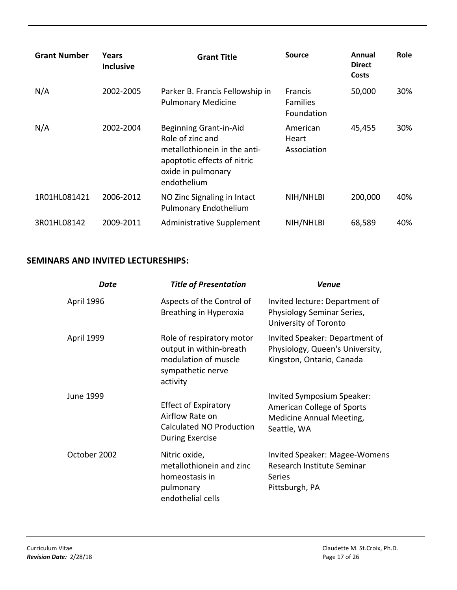| <b>Grant Number</b> | Years<br><b>Inclusive</b> | <b>Grant Title</b>                                                                                                                             | <b>Source</b>                                   | Annual<br><b>Direct</b><br>Costs | <b>Role</b> |
|---------------------|---------------------------|------------------------------------------------------------------------------------------------------------------------------------------------|-------------------------------------------------|----------------------------------|-------------|
| N/A                 | 2002-2005                 | Parker B. Francis Fellowship in<br><b>Pulmonary Medicine</b>                                                                                   | <b>Francis</b><br><b>Families</b><br>Foundation | 50,000                           | 30%         |
| N/A                 | 2002-2004                 | Beginning Grant-in-Aid<br>Role of zinc and<br>metallothionein in the anti-<br>apoptotic effects of nitric<br>oxide in pulmonary<br>endothelium | American<br>Heart<br>Association                | 45,455                           | 30%         |
| 1R01HL081421        | 2006-2012                 | NO Zinc Signaling in Intact<br><b>Pulmonary Endothelium</b>                                                                                    | NIH/NHLBI                                       | 200,000                          | 40%         |
| 3R01HL08142         | 2009-2011                 | Administrative Supplement                                                                                                                      | NIH/NHLBI                                       | 68,589                           | 40%         |

# **SEMINARS AND INVITED LECTURESHIPS:**

| Date         | <b>Title of Presentation</b>                                                                                  | <b>Venue</b>                                                                                               |
|--------------|---------------------------------------------------------------------------------------------------------------|------------------------------------------------------------------------------------------------------------|
| April 1996   | Aspects of the Control of<br>Breathing in Hyperoxia                                                           | Invited lecture: Department of<br>Physiology Seminar Series,<br>University of Toronto                      |
| April 1999   | Role of respiratory motor<br>output in within-breath<br>modulation of muscle<br>sympathetic nerve<br>activity | Invited Speaker: Department of<br>Physiology, Queen's University,<br>Kingston, Ontario, Canada             |
| June 1999    | <b>Effect of Expiratory</b><br>Airflow Rate on<br><b>Calculated NO Production</b><br><b>During Exercise</b>   | Invited Symposium Speaker:<br>American College of Sports<br><b>Medicine Annual Meeting,</b><br>Seattle, WA |
| October 2002 | Nitric oxide,<br>metallothionein and zinc<br>homeostasis in<br>pulmonary<br>endothelial cells                 | <b>Invited Speaker: Magee-Womens</b><br>Research Institute Seminar<br>Series<br>Pittsburgh, PA             |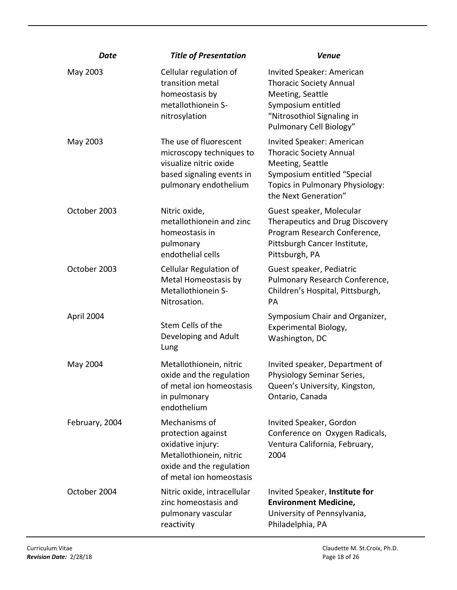| <b>Date</b>    | <b>Title of Presentation</b>                                                                                                                | <b>Venue</b>                                                                                                                                                              |
|----------------|---------------------------------------------------------------------------------------------------------------------------------------------|---------------------------------------------------------------------------------------------------------------------------------------------------------------------------|
| May 2003       | Cellular regulation of<br>transition metal<br>homeostasis by<br>metallothionein S-<br>nitrosylation                                         | Invited Speaker: American<br><b>Thoracic Society Annual</b><br>Meeting, Seattle<br>Symposium entitled<br>"Nitrosothiol Signaling in<br>Pulmonary Cell Biology"            |
| May 2003       | The use of fluorescent<br>microscopy techniques to<br>visualize nitric oxide<br>based signaling events in<br>pulmonary endothelium          | Invited Speaker: American<br><b>Thoracic Society Annual</b><br>Meeting, Seattle<br>Symposium entitled "Special<br>Topics in Pulmonary Physiology:<br>the Next Generation" |
| October 2003   | Nitric oxide,<br>metallothionein and zinc<br>homeostasis in<br>pulmonary<br>endothelial cells                                               | Guest speaker, Molecular<br>Therapeutics and Drug Discovery<br>Program Research Conference,<br>Pittsburgh Cancer Institute,<br>Pittsburgh, PA                             |
| October 2003   | Cellular Regulation of<br>Metal Homeostasis by<br>Metallothionein S-<br>Nitrosation.                                                        | Guest speaker, Pediatric<br>Pulmonary Research Conference,<br>Children's Hospital, Pittsburgh,<br><b>PA</b>                                                               |
| April 2004     | Stem Cells of the<br>Developing and Adult<br>Lung                                                                                           | Symposium Chair and Organizer,<br>Experimental Biology,<br>Washington, DC                                                                                                 |
| May 2004       | Metallothionein, nitric<br>oxide and the regulation<br>of metal ion homeostasis<br>in pulmonary<br>endothelium                              | Invited speaker, Department of<br>Physiology Seminar Series,<br>Queen's University, Kingston,<br>Ontario, Canada                                                          |
| February, 2004 | Mechanisms of<br>protection against<br>oxidative injury:<br>Metallothionein, nitric<br>oxide and the regulation<br>of metal ion homeostasis | Invited Speaker, Gordon<br>Conference on Oxygen Radicals,<br>Ventura California, February,<br>2004                                                                        |
| October 2004   | Nitric oxide, intracellular<br>zinc homeostasis and<br>pulmonary vascular<br>reactivity                                                     | Invited Speaker, Institute for<br><b>Environment Medicine,</b><br>University of Pennsylvania,<br>Philadelphia, PA                                                         |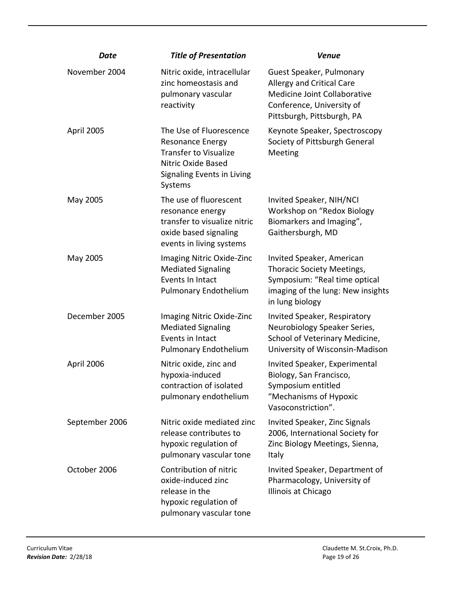| Date           | <b>Title of Presentation</b>                                                                                                                      | <b>Venue</b>                                                                                                                                     |
|----------------|---------------------------------------------------------------------------------------------------------------------------------------------------|--------------------------------------------------------------------------------------------------------------------------------------------------|
| November 2004  | Nitric oxide, intracellular<br>zinc homeostasis and<br>pulmonary vascular<br>reactivity                                                           | Guest Speaker, Pulmonary<br>Allergy and Critical Care<br>Medicine Joint Collaborative<br>Conference, University of<br>Pittsburgh, Pittsburgh, PA |
| April 2005     | The Use of Fluorescence<br><b>Resonance Energy</b><br><b>Transfer to Visualize</b><br>Nitric Oxide Based<br>Signaling Events in Living<br>Systems | Keynote Speaker, Spectroscopy<br>Society of Pittsburgh General<br>Meeting                                                                        |
| May 2005       | The use of fluorescent<br>resonance energy<br>transfer to visualize nitric<br>oxide based signaling<br>events in living systems                   | Invited Speaker, NIH/NCI<br>Workshop on "Redox Biology<br>Biomarkers and Imaging",<br>Gaithersburgh, MD                                          |
| May 2005       | Imaging Nitric Oxide-Zinc<br><b>Mediated Signaling</b><br>Events In Intact<br><b>Pulmonary Endothelium</b>                                        | Invited Speaker, American<br>Thoracic Society Meetings,<br>Symposium: "Real time optical<br>imaging of the lung: New insights<br>in lung biology |
| December 2005  | Imaging Nitric Oxide-Zinc<br><b>Mediated Signaling</b><br>Events in Intact<br><b>Pulmonary Endothelium</b>                                        | Invited Speaker, Respiratory<br>Neurobiology Speaker Series,<br>School of Veterinary Medicine,<br>University of Wisconsin-Madison                |
| April 2006     | Nitric oxide, zinc and<br>hypoxia-induced<br>contraction of isolated<br>pulmonary endothelium                                                     | Invited Speaker, Experimental<br>Biology, San Francisco,<br>Symposium entitled<br>"Mechanisms of Hypoxic<br>Vasoconstriction".                   |
| September 2006 | Nitric oxide mediated zinc<br>release contributes to<br>hypoxic regulation of<br>pulmonary vascular tone                                          | Invited Speaker, Zinc Signals<br>2006, International Society for<br>Zinc Biology Meetings, Sienna,<br>Italy                                      |
| October 2006   | Contribution of nitric<br>oxide-induced zinc<br>release in the<br>hypoxic regulation of<br>pulmonary vascular tone                                | Invited Speaker, Department of<br>Pharmacology, University of<br>Illinois at Chicago                                                             |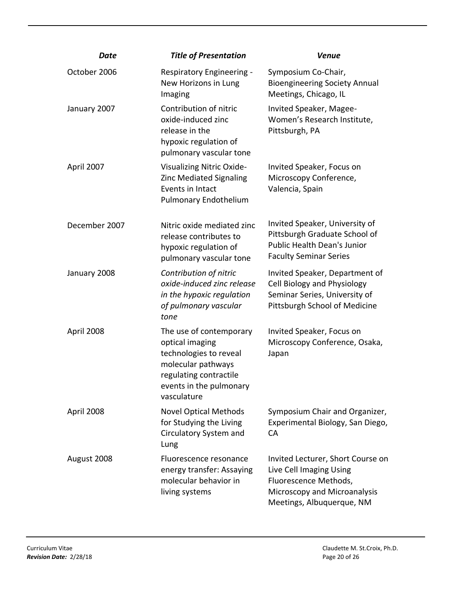| Date          | <b>Title of Presentation</b>                                                                                                                                   | <b>Venue</b>                                                                                                                                       |
|---------------|----------------------------------------------------------------------------------------------------------------------------------------------------------------|----------------------------------------------------------------------------------------------------------------------------------------------------|
| October 2006  | Respiratory Engineering -<br>New Horizons in Lung<br>Imaging                                                                                                   | Symposium Co-Chair,<br><b>Bioengineering Society Annual</b><br>Meetings, Chicago, IL                                                               |
| January 2007  | Contribution of nitric<br>oxide-induced zinc<br>release in the<br>hypoxic regulation of<br>pulmonary vascular tone                                             | Invited Speaker, Magee-<br>Women's Research Institute,<br>Pittsburgh, PA                                                                           |
| April 2007    | Visualizing Nitric Oxide-<br><b>Zinc Mediated Signaling</b><br>Events in Intact<br><b>Pulmonary Endothelium</b>                                                | Invited Speaker, Focus on<br>Microscopy Conference,<br>Valencia, Spain                                                                             |
| December 2007 | Nitric oxide mediated zinc<br>release contributes to<br>hypoxic regulation of<br>pulmonary vascular tone                                                       | Invited Speaker, University of<br>Pittsburgh Graduate School of<br><b>Public Health Dean's Junior</b><br><b>Faculty Seminar Series</b>             |
| January 2008  | Contribution of nitric<br>oxide-induced zinc release<br>in the hypoxic regulation<br>of pulmonary vascular<br>tone                                             | Invited Speaker, Department of<br>Cell Biology and Physiology<br>Seminar Series, University of<br>Pittsburgh School of Medicine                    |
| April 2008    | The use of contemporary<br>optical imaging<br>technologies to reveal<br>molecular pathways<br>regulating contractile<br>events in the pulmonary<br>vasculature | Invited Speaker, Focus on<br>Microscopy Conference, Osaka,<br>Japan                                                                                |
| April 2008    | <b>Novel Optical Methods</b><br>for Studying the Living<br>Circulatory System and<br>Lung                                                                      | Symposium Chair and Organizer,<br>Experimental Biology, San Diego,<br><b>CA</b>                                                                    |
| August 2008   | Fluorescence resonance<br>energy transfer: Assaying<br>molecular behavior in<br>living systems                                                                 | Invited Lecturer, Short Course on<br>Live Cell Imaging Using<br>Fluorescence Methods,<br>Microscopy and Microanalysis<br>Meetings, Albuquerque, NM |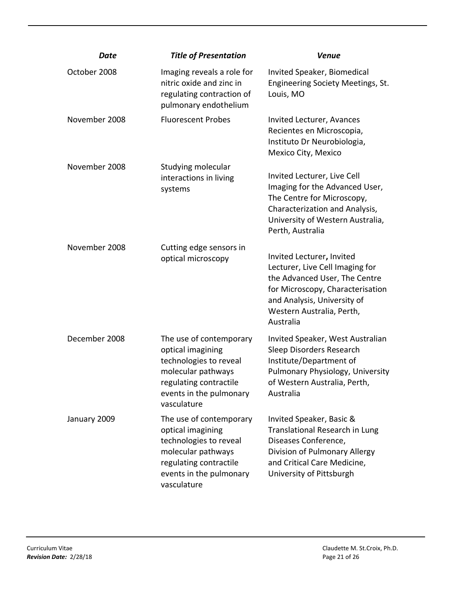| Date          | <b>Title of Presentation</b>                                                                                                                                     | <b>Venue</b>                                                                                                                                                                                               |
|---------------|------------------------------------------------------------------------------------------------------------------------------------------------------------------|------------------------------------------------------------------------------------------------------------------------------------------------------------------------------------------------------------|
| October 2008  | Imaging reveals a role for<br>nitric oxide and zinc in<br>regulating contraction of<br>pulmonary endothelium                                                     | Invited Speaker, Biomedical<br>Engineering Society Meetings, St.<br>Louis, MO                                                                                                                              |
| November 2008 | <b>Fluorescent Probes</b>                                                                                                                                        | Invited Lecturer, Avances<br>Recientes en Microscopia,<br>Instituto Dr Neurobiologia,<br>Mexico City, Mexico                                                                                               |
| November 2008 | Studying molecular<br>interactions in living<br>systems                                                                                                          | Invited Lecturer, Live Cell<br>Imaging for the Advanced User,<br>The Centre for Microscopy,<br>Characterization and Analysis,<br>University of Western Australia,<br>Perth, Australia                      |
| November 2008 | Cutting edge sensors in<br>optical microscopy                                                                                                                    | Invited Lecturer, Invited<br>Lecturer, Live Cell Imaging for<br>the Advanced User, The Centre<br>for Microscopy, Characterisation<br>and Analysis, University of<br>Western Australia, Perth,<br>Australia |
| December 2008 | The use of contemporary<br>optical imagining<br>technologies to reveal<br>molecular pathways<br>regulating contractile<br>events in the pulmonary<br>vasculature | Invited Speaker, West Australian<br>Sleep Disorders Research<br>Institute/Department of<br>Pulmonary Physiology, University<br>of Western Australia, Perth,<br>Australia                                   |
| January 2009  | The use of contemporary<br>optical imagining<br>technologies to reveal<br>molecular pathways<br>regulating contractile<br>events in the pulmonary<br>vasculature | Invited Speaker, Basic &<br>Translational Research in Lung<br>Diseases Conference,<br>Division of Pulmonary Allergy<br>and Critical Care Medicine,<br>University of Pittsburgh                             |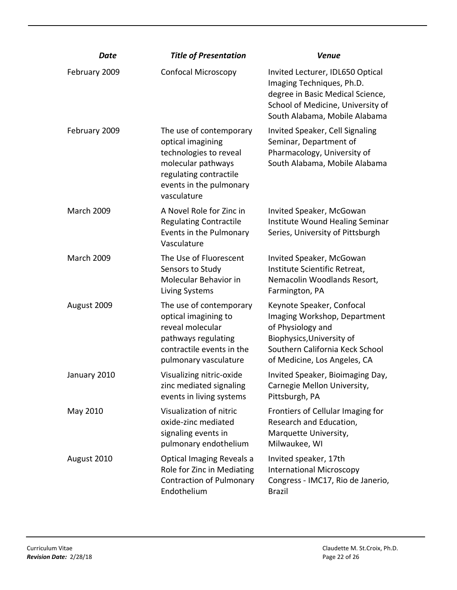| Date              | <b>Title of Presentation</b>                                                                                                                                     | <b>Venue</b>                                                                                                                                                                   |
|-------------------|------------------------------------------------------------------------------------------------------------------------------------------------------------------|--------------------------------------------------------------------------------------------------------------------------------------------------------------------------------|
| February 2009     | <b>Confocal Microscopy</b>                                                                                                                                       | Invited Lecturer, IDL650 Optical<br>Imaging Techniques, Ph.D.<br>degree in Basic Medical Science,<br>School of Medicine, University of<br>South Alabama, Mobile Alabama        |
| February 2009     | The use of contemporary<br>optical imagining<br>technologies to reveal<br>molecular pathways<br>regulating contractile<br>events in the pulmonary<br>vasculature | Invited Speaker, Cell Signaling<br>Seminar, Department of<br>Pharmacology, University of<br>South Alabama, Mobile Alabama                                                      |
| <b>March 2009</b> | A Novel Role for Zinc in<br><b>Regulating Contractile</b><br>Events in the Pulmonary<br>Vasculature                                                              | Invited Speaker, McGowan<br>Institute Wound Healing Seminar<br>Series, University of Pittsburgh                                                                                |
| <b>March 2009</b> | The Use of Fluorescent<br>Sensors to Study<br>Molecular Behavior in<br>Living Systems                                                                            | Invited Speaker, McGowan<br>Institute Scientific Retreat,<br>Nemacolin Woodlands Resort,<br>Farmington, PA                                                                     |
| August 2009       | The use of contemporary<br>optical imagining to<br>reveal molecular<br>pathways regulating<br>contractile events in the<br>pulmonary vasculature                 | Keynote Speaker, Confocal<br>Imaging Workshop, Department<br>of Physiology and<br>Biophysics, University of<br>Southern California Keck School<br>of Medicine, Los Angeles, CA |
| January 2010      | Visualizing nitric-oxide<br>zinc mediated signaling<br>events in living systems                                                                                  | Invited Speaker, Bioimaging Day,<br>Carnegie Mellon University,<br>Pittsburgh, PA                                                                                              |
| May 2010          | Visualization of nitric<br>oxide-zinc mediated<br>signaling events in<br>pulmonary endothelium                                                                   | Frontiers of Cellular Imaging for<br>Research and Education,<br>Marquette University,<br>Milwaukee, WI                                                                         |
| August 2010       | Optical Imaging Reveals a<br>Role for Zinc in Mediating<br><b>Contraction of Pulmonary</b><br>Endothelium                                                        | Invited speaker, 17th<br><b>International Microscopy</b><br>Congress - IMC17, Rio de Janerio,<br><b>Brazil</b>                                                                 |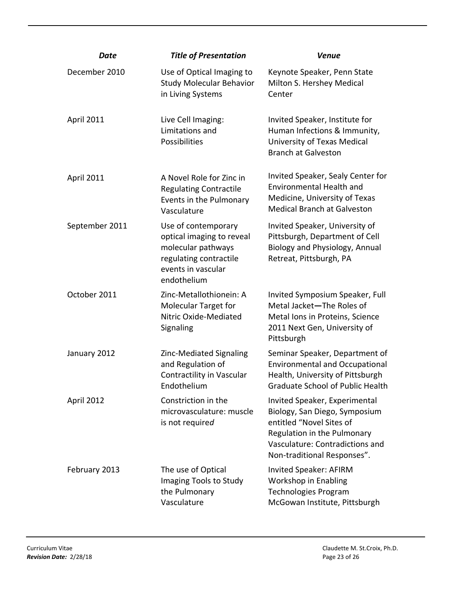| Date              | <b>Title of Presentation</b>                                                                                                          | <b>Venue</b>                                                                                                                                                                                |
|-------------------|---------------------------------------------------------------------------------------------------------------------------------------|---------------------------------------------------------------------------------------------------------------------------------------------------------------------------------------------|
| December 2010     | Use of Optical Imaging to<br><b>Study Molecular Behavior</b><br>in Living Systems                                                     | Keynote Speaker, Penn State<br>Milton S. Hershey Medical<br>Center                                                                                                                          |
| <b>April 2011</b> | Live Cell Imaging:<br>Limitations and<br>Possibilities                                                                                | Invited Speaker, Institute for<br>Human Infections & Immunity,<br>University of Texas Medical<br><b>Branch at Galveston</b>                                                                 |
| <b>April 2011</b> | A Novel Role for Zinc in<br><b>Regulating Contractile</b><br>Events in the Pulmonary<br>Vasculature                                   | Invited Speaker, Sealy Center for<br><b>Environmental Health and</b><br>Medicine, University of Texas<br><b>Medical Branch at Galveston</b>                                                 |
| September 2011    | Use of contemporary<br>optical imaging to reveal<br>molecular pathways<br>regulating contractile<br>events in vascular<br>endothelium | Invited Speaker, University of<br>Pittsburgh, Department of Cell<br>Biology and Physiology, Annual<br>Retreat, Pittsburgh, PA                                                               |
| October 2011      | Zinc-Metallothionein: A<br><b>Molecular Target for</b><br>Nitric Oxide-Mediated<br>Signaling                                          | Invited Symposium Speaker, Full<br>Metal Jacket-The Roles of<br>Metal Ions in Proteins, Science<br>2011 Next Gen, University of<br>Pittsburgh                                               |
| January 2012      | Zinc-Mediated Signaling<br>and Regulation of<br>Contractility in Vascular<br>Endothelium                                              | Seminar Speaker, Department of<br><b>Environmental and Occupational</b><br>Health, University of Pittsburgh<br><b>Graduate School of Public Health</b>                                      |
| April 2012        | Constriction in the<br>microvasculature: muscle<br>is not required                                                                    | Invited Speaker, Experimental<br>Biology, San Diego, Symposium<br>entitled "Novel Sites of<br>Regulation in the Pulmonary<br>Vasculature: Contradictions and<br>Non-traditional Responses". |
| February 2013     | The use of Optical<br>Imaging Tools to Study<br>the Pulmonary<br>Vasculature                                                          | Invited Speaker: AFIRM<br>Workshop in Enabling<br>Technologies Program<br>McGowan Institute, Pittsburgh                                                                                     |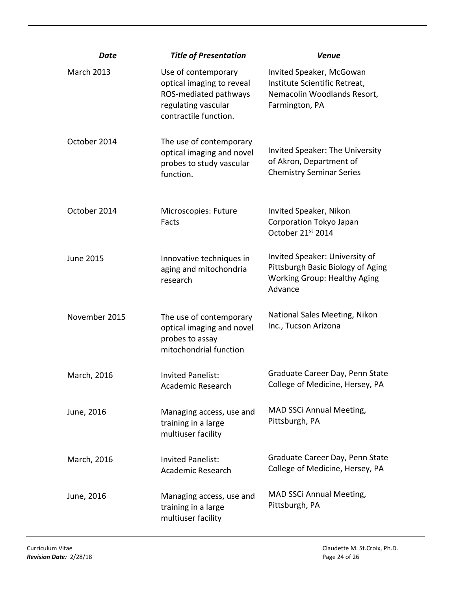| Date              | <b>Title of Presentation</b>                                                                                              | <b>Venue</b>                                                                                                          |
|-------------------|---------------------------------------------------------------------------------------------------------------------------|-----------------------------------------------------------------------------------------------------------------------|
| <b>March 2013</b> | Use of contemporary<br>optical imaging to reveal<br>ROS-mediated pathways<br>regulating vascular<br>contractile function. | Invited Speaker, McGowan<br>Institute Scientific Retreat,<br>Nemacolin Woodlands Resort,<br>Farmington, PA            |
| October 2014      | The use of contemporary<br>optical imaging and novel<br>probes to study vascular<br>function.                             | <b>Invited Speaker: The University</b><br>of Akron, Department of<br><b>Chemistry Seminar Series</b>                  |
| October 2014      | Microscopies: Future<br>Facts                                                                                             | Invited Speaker, Nikon<br>Corporation Tokyo Japan<br>October 21st 2014                                                |
| <b>June 2015</b>  | Innovative techniques in<br>aging and mitochondria<br>research                                                            | Invited Speaker: University of<br>Pittsburgh Basic Biology of Aging<br><b>Working Group: Healthy Aging</b><br>Advance |
| November 2015     | The use of contemporary<br>optical imaging and novel<br>probes to assay<br>mitochondrial function                         | National Sales Meeting, Nikon<br>Inc., Tucson Arizona                                                                 |
| March, 2016       | <b>Invited Panelist:</b><br>Academic Research                                                                             | Graduate Career Day, Penn State<br>College of Medicine, Hersey, PA                                                    |
| June, 2016        | Managing access, use and<br>training in a large<br>multiuser facility                                                     | MAD SSCi Annual Meeting,<br>Pittsburgh, PA                                                                            |
| March, 2016       | <b>Invited Panelist:</b><br>Academic Research                                                                             | Graduate Career Day, Penn State<br>College of Medicine, Hersey, PA                                                    |
| June, 2016        | Managing access, use and<br>training in a large<br>multiuser facility                                                     | <b>MAD SSCI Annual Meeting,</b><br>Pittsburgh, PA                                                                     |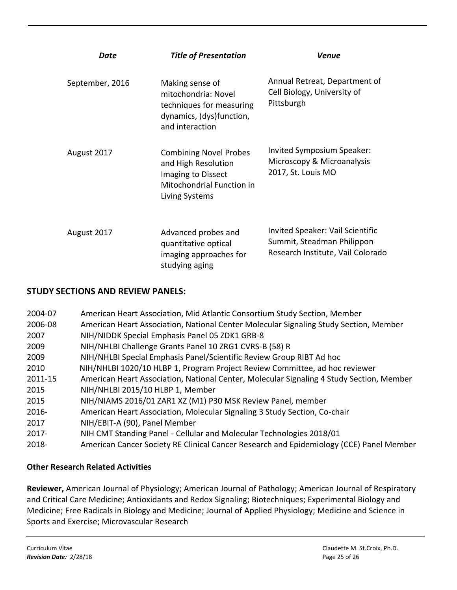| Date            | <b>Title of Presentation</b>                                                                                              | Venue                                                                                               |
|-----------------|---------------------------------------------------------------------------------------------------------------------------|-----------------------------------------------------------------------------------------------------|
| September, 2016 | Making sense of<br>mitochondria: Novel<br>techniques for measuring<br>dynamics, (dys)function,<br>and interaction         | Annual Retreat, Department of<br>Cell Biology, University of<br>Pittsburgh                          |
| August 2017     | <b>Combining Novel Probes</b><br>and High Resolution<br>Imaging to Dissect<br>Mitochondrial Function in<br>Living Systems | Invited Symposium Speaker:<br>Microscopy & Microanalysis<br>2017, St. Louis MO                      |
| August 2017     | Advanced probes and<br>quantitative optical<br>imaging approaches for<br>studying aging                                   | Invited Speaker: Vail Scientific<br>Summit, Steadman Philippon<br>Research Institute, Vail Colorado |

# **STUDY SECTIONS AND REVIEW PANELS:**

| 2004-07  | American Heart Association, Mid Atlantic Consortium Study Section, Member                |
|----------|------------------------------------------------------------------------------------------|
| 2006-08  | American Heart Association, National Center Molecular Signaling Study Section, Member    |
| 2007     | NIH/NIDDK Special Emphasis Panel 05 ZDK1 GRB-8                                           |
| 2009     | NIH/NHLBI Challenge Grants Panel 10 ZRG1 CVRS-B (58) R                                   |
| 2009     | NIH/NHLBI Special Emphasis Panel/Scientific Review Group RIBT Ad hoc                     |
| 2010     | NIH/NHLBI 1020/10 HLBP 1, Program Project Review Committee, ad hoc reviewer              |
| 2011-15  | American Heart Association, National Center, Molecular Signaling 4 Study Section, Member |
| 2015     | NIH/NHLBI 2015/10 HLBP 1, Member                                                         |
| 2015     | NIH/NIAMS 2016/01 ZAR1 XZ (M1) P30 MSK Review Panel, member                              |
| $2016 -$ | American Heart Association, Molecular Signaling 3 Study Section, Co-chair                |
| 2017     | NIH/EBIT-A (90), Panel Member                                                            |
| $2017 -$ | NIH CMT Standing Panel - Cellular and Molecular Technologies 2018/01                     |
| 2018-    | American Cancer Society RE Clinical Cancer Research and Epidemiology (CCE) Panel Member  |

# **Other Research Related Activities**

**Reviewer,** American Journal of Physiology; American Journal of Pathology; American Journal of Respiratory and Critical Care Medicine; Antioxidants and Redox Signaling; Biotechniques; Experimental Biology and Medicine; Free Radicals in Biology and Medicine; Journal of Applied Physiology; Medicine and Science in Sports and Exercise; Microvascular Research